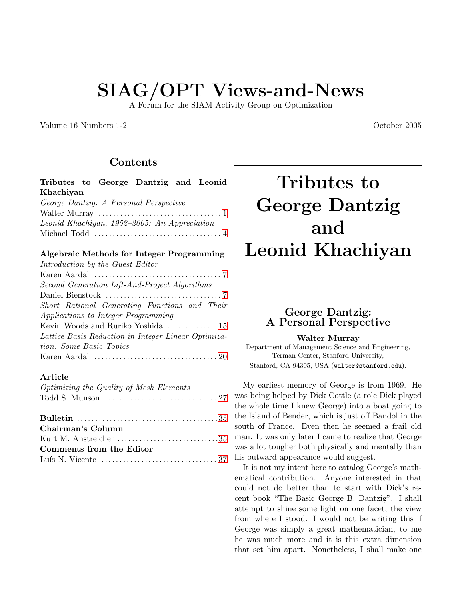# SIAG/OPT Views-and-News

A Forum for the SIAM Activity Group on Optimization

Volume 16 Numbers 1-2 October 2005

# Contents

|           |  | Tributes to George Dantzig and Leonid |  |
|-----------|--|---------------------------------------|--|
| Khachiyan |  |                                       |  |

| George Dantzig: A Personal Perspective                                  |  |
|-------------------------------------------------------------------------|--|
|                                                                         |  |
| Leonid Khachiyan, 1952–2005: An Appreciation                            |  |
| Michael Todd $\dots\dots\dots\dots\dots\dots\dots\dots\dots\dots\dots4$ |  |

### Algebraic Methods for Integer Programming

| Introduction by the Guest Editor                                                               |
|------------------------------------------------------------------------------------------------|
| Karen Aardal $\dots\dots\dots\dots\dots\dots\dots\dots\dots\dots$ 7                            |
| Second Generation Lift-And-Project Algorithms                                                  |
|                                                                                                |
| Short Rational Generating Functions and Their                                                  |
| Applications to Integer Programming                                                            |
| Kevin Woods and Ruriko Yoshida 15                                                              |
| Lattice Basis Reduction in Integer Linear Optimiza-                                            |
| tion: Some Basic Topics                                                                        |
| Karen Aardal $\ldots \ldots \ldots \ldots \ldots \ldots \ldots \ldots \ldots \ldots \ldots 20$ |

### Article

| Optimizing the Quality of Mesh Elements |  |
|-----------------------------------------|--|
|                                         |  |
|                                         |  |
| Chairman's Column                       |  |
| Kurt M. Anstreicher 35                  |  |
| Comments from the Editor                |  |
|                                         |  |

# Tributes to George Dantzig and Leonid Khachiyan

# <span id="page-0-0"></span>George Dantzig: A Personal Perspective

#### Walter Murray

Department of Management Science and Engineering, Terman Center, Stanford University, Stanford, CA 94305, USA (walter@stanford.edu).

My earliest memory of George is from 1969. He was being helped by Dick Cottle (a role Dick played the whole time I knew George) into a boat going to the Island of Bender, which is just off Bandol in the south of France. Even then he seemed a frail old man. It was only later I came to realize that George was a lot tougher both physically and mentally than his outward appearance would suggest.

It is not my intent here to catalog George's mathematical contribution. Anyone interested in that could not do better than to start with Dick's recent book "The Basic George B. Dantzig". I shall attempt to shine some light on one facet, the view from where I stood. I would not be writing this if George was simply a great mathematician, to me he was much more and it is this extra dimension that set him apart. Nonetheless, I shall make one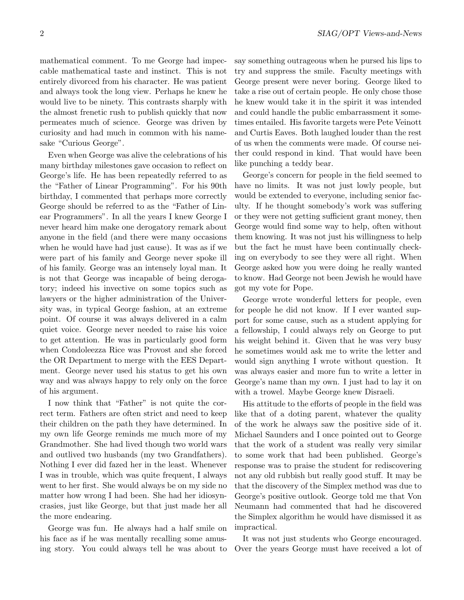mathematical comment. To me George had impeccable mathematical taste and instinct. This is not entirely divorced from his character. He was patient and always took the long view. Perhaps he knew he would live to be ninety. This contrasts sharply with the almost frenetic rush to publish quickly that now permeates much of science. George was driven by curiosity and had much in common with his namesake "Curious George".

Even when George was alive the celebrations of his many birthday milestones gave occasion to reflect on George's life. He has been repeatedly referred to as the "Father of Linear Programming". For his 90th birthday, I commented that perhaps more correctly George should be referred to as the "Father of Linear Programmers". In all the years I knew George I never heard him make one derogatory remark about anyone in the field (and there were many occasions when he would have had just cause). It was as if we were part of his family and George never spoke ill of his family. George was an intensely loyal man. It is not that George was incapable of being derogatory; indeed his invective on some topics such as lawyers or the higher administration of the University was, in typical George fashion, at an extreme point. Of course it was always delivered in a calm quiet voice. George never needed to raise his voice to get attention. He was in particularly good form when Condoleezza Rice was Provost and she forced the OR Department to merge with the EES Department. George never used his status to get his own way and was always happy to rely only on the force of his argument.

I now think that "Father" is not quite the correct term. Fathers are often strict and need to keep their children on the path they have determined. In my own life George reminds me much more of my Grandmother. She had lived though two world wars and outlived two husbands (my two Grandfathers). Nothing I ever did fazed her in the least. Whenever I was in trouble, which was quite frequent, I always went to her first. She would always be on my side no matter how wrong I had been. She had her idiosyncrasies, just like George, but that just made her all the more endearing.

George was fun. He always had a half smile on his face as if he was mentally recalling some amusing story. You could always tell he was about to say something outrageous when he pursed his lips to try and suppress the smile. Faculty meetings with George present were never boring. George liked to take a rise out of certain people. He only chose those he knew would take it in the spirit it was intended and could handle the public embarrassment it sometimes entailed. His favorite targets were Pete Veinott and Curtis Eaves. Both laughed louder than the rest of us when the comments were made. Of course neither could respond in kind. That would have been like punching a teddy bear.

George's concern for people in the field seemed to have no limits. It was not just lowly people, but would be extended to everyone, including senior faculty. If he thought somebody's work was suffering or they were not getting sufficient grant money, then George would find some way to help, often without them knowing. It was not just his willingness to help but the fact he must have been continually checking on everybody to see they were all right. When George asked how you were doing he really wanted to know. Had George not been Jewish he would have got my vote for Pope.

George wrote wonderful letters for people, even for people he did not know. If I ever wanted support for some cause, such as a student applying for a fellowship, I could always rely on George to put his weight behind it. Given that he was very busy he sometimes would ask me to write the letter and would sign anything I wrote without question. It was always easier and more fun to write a letter in George's name than my own. I just had to lay it on with a trowel. Maybe George knew Disraeli.

His attitude to the efforts of people in the field was like that of a doting parent, whatever the quality of the work he always saw the positive side of it. Michael Saunders and I once pointed out to George that the work of a student was really very similar to some work that had been published. George's response was to praise the student for rediscovering not any old rubbish but really good stuff. It may be that the discovery of the Simplex method was due to George's positive outlook. George told me that Von Neumann had commented that had he discovered the Simplex algorithm he would have dismissed it as impractical.

It was not just students who George encouraged. Over the years George must have received a lot of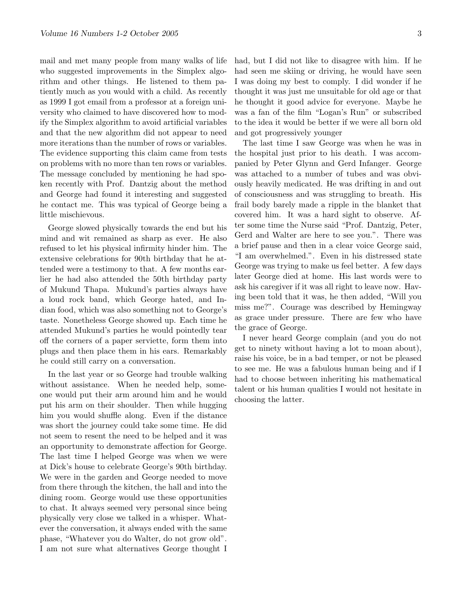mail and met many people from many walks of life who suggested improvements in the Simplex algorithm and other things. He listened to them patiently much as you would with a child. As recently as 1999 I got email from a professor at a foreign university who claimed to have discovered how to modify the Simplex algorithm to avoid artificial variables and that the new algorithm did not appear to need more iterations than the number of rows or variables. The evidence supporting this claim came from tests on problems with no more than ten rows or variables. The message concluded by mentioning he had spoken recently with Prof. Dantzig about the method and George had found it interesting and suggested he contact me. This was typical of George being a little mischievous.

George slowed physically towards the end but his mind and wit remained as sharp as ever. He also refused to let his physical infirmity hinder him. The extensive celebrations for 90th birthday that he attended were a testimony to that. A few months earlier he had also attended the 50th birthday party of Mukund Thapa. Mukund's parties always have a loud rock band, which George hated, and Indian food, which was also something not to George's taste. Nonetheless George showed up. Each time he attended Mukund's parties he would pointedly tear off the corners of a paper serviette, form them into plugs and then place them in his ears. Remarkably he could still carry on a conversation.

In the last year or so George had trouble walking without assistance. When he needed help, someone would put their arm around him and he would put his arm on their shoulder. Then while hugging him you would shuffle along. Even if the distance was short the journey could take some time. He did not seem to resent the need to be helped and it was an opportunity to demonstrate affection for George. The last time I helped George was when we were at Dick's house to celebrate George's 90th birthday. We were in the garden and George needed to move from there through the kitchen, the hall and into the dining room. George would use these opportunities to chat. It always seemed very personal since being physically very close we talked in a whisper. Whatever the conversation, it always ended with the same phase, "Whatever you do Walter, do not grow old". I am not sure what alternatives George thought I had, but I did not like to disagree with him. If he had seen me skiing or driving, he would have seen I was doing my best to comply. I did wonder if he thought it was just me unsuitable for old age or that he thought it good advice for everyone. Maybe he was a fan of the film "Logan's Run" or subscribed to the idea it would be better if we were all born old and got progressively younger

The last time I saw George was when he was in the hospital just prior to his death. I was accompanied by Peter Glynn and Gerd Infanger. George was attached to a number of tubes and was obviously heavily medicated. He was drifting in and out of consciousness and was struggling to breath. His frail body barely made a ripple in the blanket that covered him. It was a hard sight to observe. After some time the Nurse said "Prof. Dantzig, Peter, Gerd and Walter are here to see you.". There was a brief pause and then in a clear voice George said, "I am overwhelmed.". Even in his distressed state George was trying to make us feel better. A few days later George died at home. His last words were to ask his caregiver if it was all right to leave now. Having been told that it was, he then added, "Will you miss me?". Courage was described by Hemingway as grace under pressure. There are few who have the grace of George.

I never heard George complain (and you do not get to ninety without having a lot to moan about), raise his voice, be in a bad temper, or not be pleased to see me. He was a fabulous human being and if I had to choose between inheriting his mathematical talent or his human qualities I would not hesitate in choosing the latter.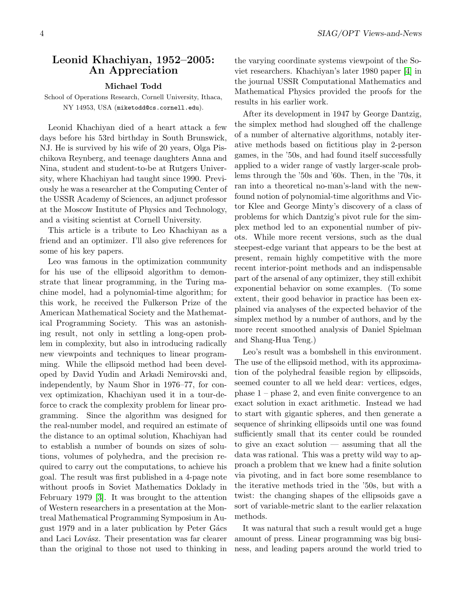## <span id="page-3-0"></span>Leonid Khachiyan, 1952–2005: An Appreciation

#### Michael Todd

School of Operations Research, Cornell University, Ithaca, NY 14953, USA (miketodd@cs.cornell.edu).

Leonid Khachiyan died of a heart attack a few days before his 53rd birthday in South Brunswick, NJ. He is survived by his wife of 20 years, Olga Pischikova Reynberg, and teenage daughters Anna and Nina, student and student-to-be at Rutgers University, where Khachiyan had taught since 1990. Previously he was a researcher at the Computing Center of the USSR Academy of Sciences, an adjunct professor at the Moscow Institute of Physics and Technology, and a visiting scientist at Cornell University.

This article is a tribute to Leo Khachiyan as a friend and an optimizer. I'll also give references for some of his key papers.

Leo was famous in the optimization community for his use of the ellipsoid algorithm to demonstrate that linear programming, in the Turing machine model, had a polynomial-time algorithm; for this work, he received the Fulkerson Prize of the American Mathematical Society and the Mathematical Programming Society. This was an astonishing result, not only in settling a long-open problem in complexity, but also in introducing radically new viewpoints and techniques to linear programming. While the ellipsoid method had been developed by David Yudin and Arkadi Nemirovski and, independently, by Naum Shor in 1976–77, for convex optimization, Khachiyan used it in a tour-deforce to crack the complexity problem for linear programming. Since the algorithm was designed for the real-number model, and required an estimate of the distance to an optimal solution, Khachiyan had to establish a number of bounds on sizes of solutions, volumes of polyhedra, and the precision required to carry out the computations, to achieve his goal. The result was first published in a 4-page note without proofs in Soviet Mathematics Doklady in February 1979 [\[3\]](#page-5-0). It was brought to the attention of Western researchers in a presentation at the Montreal Mathematical Programming Symposium in August 1979 and in a later publication by Peter Gács and Laci Lovász. Their presentation was far clearer than the original to those not used to thinking in the varying coordinate systems viewpoint of the Soviet researchers. Khachiyan's later 1980 paper [\[4\]](#page-5-1) in the journal USSR Computational Mathematics and Mathematical Physics provided the proofs for the results in his earlier work.

After its development in 1947 by George Dantzig, the simplex method had sloughed off the challenge of a number of alternative algorithms, notably iterative methods based on fictitious play in 2-person games, in the '50s, and had found itself successfully applied to a wider range of vastly larger-scale problems through the '50s and '60s. Then, in the '70s, it ran into a theoretical no-man's-land with the newfound notion of polynomial-time algorithms and Victor Klee and George Minty's discovery of a class of problems for which Dantzig's pivot rule for the simplex method led to an exponential number of pivots. While more recent versions, such as the dual steepest-edge variant that appears to be the best at present, remain highly competitive with the more recent interior-point methods and an indispensable part of the arsenal of any optimizer, they still exhibit exponential behavior on some examples. (To some extent, their good behavior in practice has been explained via analyses of the expected behavior of the simplex method by a number of authors, and by the more recent smoothed analysis of Daniel Spielman and Shang-Hua Teng.)

Leo's result was a bombshell in this environment. The use of the ellipsoid method, with its approximation of the polyhedral feasible region by ellipsoids, seemed counter to all we held dear: vertices, edges, phase 1 – phase 2, and even finite convergence to an exact solution in exact arithmetic. Instead we had to start with gigantic spheres, and then generate a sequence of shrinking ellipsoids until one was found sufficiently small that its center could be rounded to give an exact solution — assuming that all the data was rational. This was a pretty wild way to approach a problem that we knew had a finite solution via pivoting, and in fact bore some resemblance to the iterative methods tried in the '50s, but with a twist: the changing shapes of the ellipsoids gave a sort of variable-metric slant to the earlier relaxation methods.

It was natural that such a result would get a huge amount of press. Linear programming was big business, and leading papers around the world tried to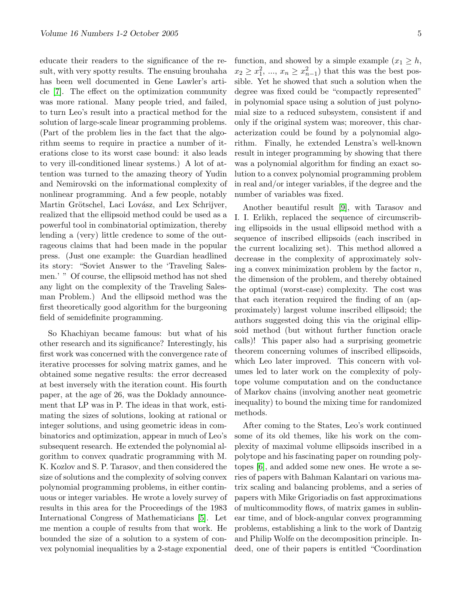educate their readers to the significance of the result, with very spotty results. The ensuing brouhaha has been well documented in Gene Lawler's article [\[7\]](#page-5-2). The effect on the optimization community was more rational. Many people tried, and failed, to turn Leo's result into a practical method for the solution of large-scale linear programming problems. (Part of the problem lies in the fact that the algorithm seems to require in practice a number of iterations close to its worst case bound: it also leads to very ill-conditioned linear systems.) A lot of attention was turned to the amazing theory of Yudin and Nemirovski on the informational complexity of nonlinear programming. And a few people, notably Martin Grötschel, Laci Lovász, and Lex Schrijver, realized that the ellipsoid method could be used as a powerful tool in combinatorial optimization, thereby lending a (very) little credence to some of the outrageous claims that had been made in the popular press. (Just one example: the Guardian headlined its story: "Soviet Answer to the 'Traveling Salesmen.' " Of course, the ellipsoid method has not shed any light on the complexity of the Traveling Salesman Problem.) And the ellipsoid method was the first theoretically good algorithm for the burgeoning field of semidefinite programming.

So Khachiyan became famous: but what of his other research and its significance? Interestingly, his first work was concerned with the convergence rate of iterative processes for solving matrix games, and he obtained some negative results: the error decreased at best inversely with the iteration count. His fourth paper, at the age of 26, was the Doklady announcement that LP was in P. The ideas in that work, estimating the sizes of solutions, looking at rational or integer solutions, and using geometric ideas in combinatorics and optimization, appear in much of Leo's subsequent research. He extended the polynomial algorithm to convex quadratic programming with M. K. Kozlov and S. P. Tarasov, and then considered the size of solutions and the complexity of solving convex polynomial programming problems, in either continuous or integer variables. He wrote a lovely survey of results in this area for the Proceedings of the 1983 International Congress of Mathematicians [\[5\]](#page-5-3). Let me mention a couple of results from that work. He bounded the size of a solution to a system of convex polynomial inequalities by a 2-stage exponential

function, and showed by a simple example  $(x_1 \geq h$ ,  $x_2 \ge x_1^2, \dots, x_n \ge x_{n-1}^2$  that this was the best possible. Yet he showed that such a solution when the degree was fixed could be "compactly represented" in polynomial space using a solution of just polynomial size to a reduced subsystem, consistent if and only if the original system was; moreover, this characterization could be found by a polynomial algorithm. Finally, he extended Lenstra's well-known result in integer programming by showing that there was a polynomial algorithm for finding an exact solution to a convex polynomial programming problem in real and/or integer variables, if the degree and the number of variables was fixed.

Another beautiful result [\[9\]](#page-5-4), with Tarasov and I. I. Erlikh, replaced the sequence of circumscribing ellipsoids in the usual ellipsoid method with a sequence of inscribed ellipsoids (each inscribed in the current localizing set). This method allowed a decrease in the complexity of approximately solving a convex minimization problem by the factor  $n$ , the dimension of the problem, and thereby obtained the optimal (worst-case) complexity. The cost was that each iteration required the finding of an (approximately) largest volume inscribed ellipsoid; the authors suggested doing this via the original ellipsoid method (but without further function oracle calls)! This paper also had a surprising geometric theorem concerning volumes of inscribed ellipsoids, which Leo later improved. This concern with volumes led to later work on the complexity of polytope volume computation and on the conductance of Markov chains (involving another neat geometric inequality) to bound the mixing time for randomized methods.

After coming to the States, Leo's work continued some of its old themes, like his work on the complexity of maximal volume ellipsoids inscribed in a polytope and his fascinating paper on rounding polytopes [\[6\]](#page-5-5), and added some new ones. He wrote a series of papers with Bahman Kalantari on various matrix scaling and balancing problems, and a series of papers with Mike Grigoriadis on fast approximations of multicommodity flows, of matrix games in sublinear time, and of block-angular convex programming problems, establishing a link to the work of Dantzig and Philip Wolfe on the decomposition principle. Indeed, one of their papers is entitled "Coordination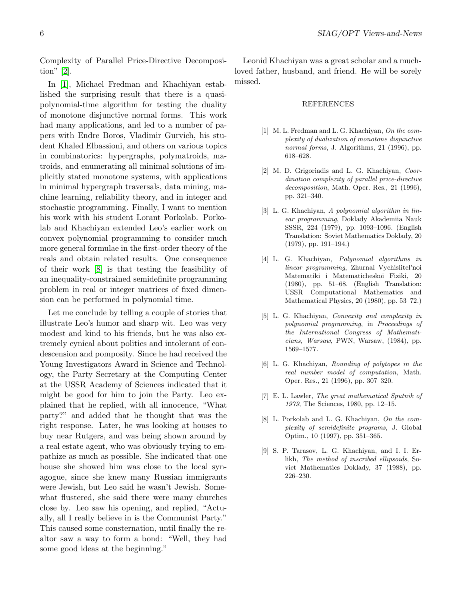Complexity of Parallel Price-Directive Decomposition" [\[2\]](#page-5-6).

In [\[1\]](#page-5-7), Michael Fredman and Khachiyan established the surprising result that there is a quasipolynomial-time algorithm for testing the duality of monotone disjunctive normal forms. This work had many applications, and led to a number of papers with Endre Boros, Vladimir Gurvich, his student Khaled Elbassioni, and others on various topics in combinatorics: hypergraphs, polymatroids, matroids, and enumerating all minimal solutions of implicitly stated monotone systems, with applications in minimal hypergraph traversals, data mining, machine learning, reliability theory, and in integer and stochastic programming. Finally, I want to mention his work with his student Lorant Porkolab. Porkolab and Khachiyan extended Leo's earlier work on convex polynomial programming to consider much more general formulae in the first-order theory of the reals and obtain related results. One consequence of their work [\[8\]](#page-5-8) is that testing the feasibility of an inequality-constrained semidefinite programming problem in real or integer matrices of fixed dimension can be performed in polynomial time.

Let me conclude by telling a couple of stories that illustrate Leo's humor and sharp wit. Leo was very modest and kind to his friends, but he was also extremely cynical about politics and intolerant of condescension and pomposity. Since he had received the Young Investigators Award in Science and Technology, the Party Secretary at the Computing Center at the USSR Academy of Sciences indicated that it might be good for him to join the Party. Leo explained that he replied, with all innocence, "What party?" and added that he thought that was the right response. Later, he was looking at houses to buy near Rutgers, and was being shown around by a real estate agent, who was obviously trying to empathize as much as possible. She indicated that one house she showed him was close to the local synagogue, since she knew many Russian immigrants were Jewish, but Leo said he wasn't Jewish. Somewhat flustered, she said there were many churches close by. Leo saw his opening, and replied, "Actually, all I really believe in is the Communist Party." This caused some consternation, until finally the realtor saw a way to form a bond: "Well, they had some good ideas at the beginning."

Leonid Khachiyan was a great scholar and a muchloved father, husband, and friend. He will be sorely missed.

#### REFERENCES

- <span id="page-5-7"></span>[1] M. L. Fredman and L. G. Khachiyan, On the complexity of dualization of monotone disjunctive normal forms, J. Algorithms, 21 (1996), pp. 618–628.
- <span id="page-5-6"></span>[2] M. D. Grigoriadis and L. G. Khachiyan, Coordination complexity of parallel price-directive decomposition, Math. Oper. Res., 21 (1996), pp. 321–340.
- <span id="page-5-0"></span>[3] L. G. Khachiyan, A polynomial algorithm in linear programming, Doklady Akademiia Nauk SSSR, 224 (1979), pp. 1093–1096. (English Translation: Soviet Mathematics Doklady, 20 (1979), pp. 191–194.)
- <span id="page-5-1"></span>[4] L. G. Khachiyan, Polynomial algorithms in linear programming, Zhurnal Vychislitel'noi Matematiki i Matematicheskoi Fiziki, 20 (1980), pp. 51–68. (English Translation: USSR Computational Mathematics and Mathematical Physics, 20 (1980), pp. 53–72.)
- <span id="page-5-3"></span>[5] L. G. Khachiyan, Convexity and complexity in polynomial programming, in Proceedings of the International Congress of Mathematicians, Warsaw, PWN, Warsaw, (1984), pp. 1569–1577.
- <span id="page-5-5"></span>[6] L. G. Khachiyan, Rounding of polytopes in the real number model of computation, Math. Oper. Res., 21 (1996), pp. 307–320.
- <span id="page-5-2"></span>[7] E. L. Lawler, The great mathematical Sputnik of 1979, The Sciences, 1980, pp. 12–15.
- <span id="page-5-8"></span>[8] L. Porkolab and L. G. Khachiyan, On the complexity of semidefinite programs, J. Global Optim., 10 (1997), pp. 351–365.
- <span id="page-5-4"></span>[9] S. P. Tarasov, L. G. Khachiyan, and I. I. Erlikh, The method of inscribed ellipsoids, Soviet Mathematics Doklady, 37 (1988), pp. 226–230.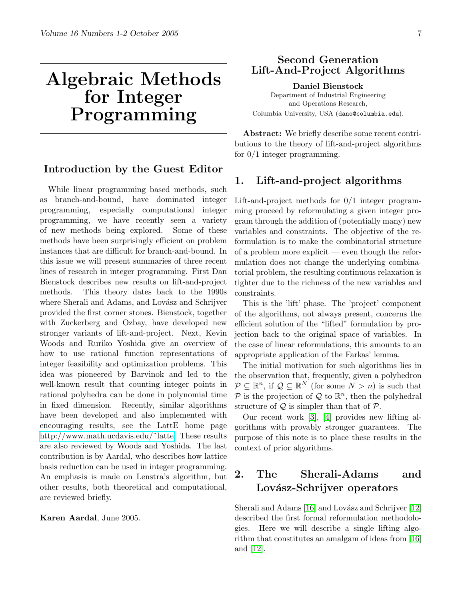# Algebraic Methods for Integer Programming

# <span id="page-6-0"></span>Introduction by the Guest Editor

While linear programming based methods, such as branch-and-bound, have dominated integer programming, especially computational integer programming, we have recently seen a variety of new methods being explored. Some of these methods have been surprisingly efficient on problem instances that are difficult for branch-and-bound. In this issue we will present summaries of three recent lines of research in integer programming. First Dan Bienstock describes new results on lift-and-project methods. This theory dates back to the 1990s where Sherali and Adams, and Lovász and Schrijver provided the first corner stones. Bienstock, together with Zuckerberg and Ozbay, have developed new stronger variants of lift-and-project. Next, Kevin Woods and Ruriko Yoshida give an overview of how to use rational function representations of integer feasibility and optimization problems. This idea was pioneered by Barvinok and led to the well-known result that counting integer points in rational polyhedra can be done in polynomial time in fixed dimension. Recently, similar algorithms have been developed and also implemented with encouraging results, see the LattE home page http://www.math.ucdavis.edu/~latte. These results are also reviewed by Woods and Yoshida. The last contribution is by Aardal, who describes how lattice basis reduction can be used in integer programming. An emphasis is made on Lenstra's algorithm, but other results, both theoretical and computational, are reviewed briefly.

Karen Aardal, June 2005.

# <span id="page-6-1"></span>Second Generation Lift-And-Project Algorithms

Daniel Bienstock Department of Industrial Engineering and Operations Research, Columbia University, USA (dano@columbia.edu).

Abstract: We briefly describe some recent contributions to the theory of lift-and-project algorithms for 0/1 integer programming.

# 1. Lift-and-project algorithms

Lift-and-project methods for 0/1 integer programming proceed by reformulating a given integer program through the addition of (potentially many) new variables and constraints. The objective of the reformulation is to make the combinatorial structure of a problem more explicit — even though the reformulation does not change the underlying combinatorial problem, the resulting continuous relaxation is tighter due to the richness of the new variables and constraints.

This is the 'lift' phase. The 'project' component of the algorithms, not always present, concerns the efficient solution of the "lifted" formulation by projection back to the original space of variables. In the case of linear reformulations, this amounts to an appropriate application of the Farkas' lemma.

The initial motivation for such algorithms lies in the observation that, frequently, given a polyhedron  $P \subseteq \mathbb{R}^n$ , if  $\mathcal{Q} \subseteq \mathbb{R}^N$  (for some  $N > n$ ) is such that P is the projection of Q to  $\mathbb{R}^n$ , then the polyhedral structure of  $Q$  is simpler than that of  $P$ .

Our recent work [\[3\]](#page-13-0), [\[4\]](#page-13-1) provides new lifting algorithms with provably stronger guarantees. The purpose of this note is to place these results in the context of prior algorithms.

# <span id="page-6-2"></span>2. The Sherali-Adams and Lovász-Schrijver operators

Sherali and Adams [\[16\]](#page-13-2) and Lovász and Schrijver [\[12\]](#page-13-3) described the first formal reformulation methodologies. Here we will describe a single lifting algorithm that constitutes an amalgam of ideas from [\[16\]](#page-13-2) and [\[12\]](#page-13-3).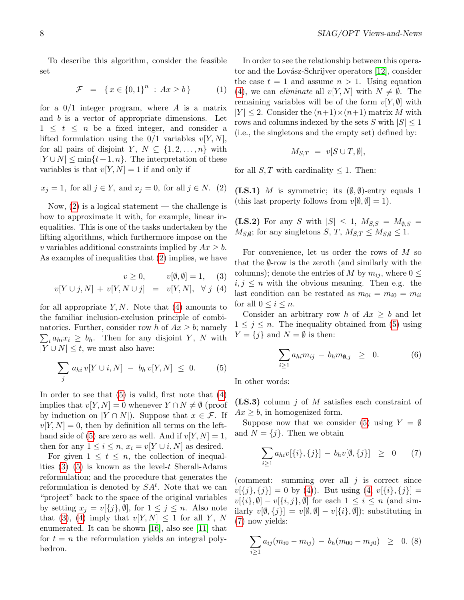To describe this algorithm, consider the feasible set

<span id="page-7-4"></span>
$$
\mathcal{F} = \{ x \in \{0, 1\}^n : Ax \ge b \}
$$
 (1)

for a  $0/1$  integer program, where A is a matrix and b is a vector of appropriate dimensions. Let  $1 \leq t \leq n$  be a fixed integer, and consider a lifted formulation using the  $0/1$  variables  $v[Y, N]$ , for all pairs of disjoint Y,  $N \subseteq \{1, 2, ..., n\}$  with  $|Y \cup N| \leq \min\{t+1, n\}.$  The interpretation of these variables is that  $v[Y, N] = 1$  if and only if

<span id="page-7-0"></span>
$$
x_j = 1
$$
, for all  $j \in Y$ , and  $x_j = 0$ , for all  $j \in N$ . (2)

Now,  $(2)$  is a logical statement — the challenge is how to approximate it with, for example, linear inequalities. This is one of the tasks undertaken by the lifting algorithms, which furthermore impose on the v variables additional constraints implied by  $Ax \geq b$ . As examples of inequalities that [\(2\)](#page-7-0) implies, we have

<span id="page-7-1"></span>
$$
v \ge 0, \qquad v[\emptyset, \emptyset] = 1, \quad (3)
$$
  

$$
v[Y \cup j, N] + v[Y, N \cup j] = v[Y, N], \forall j \ (4)
$$

for all appropriate  $Y, N$ . Note that [\(4\)](#page-7-1) amounts to the familiar inclusion-exclusion principle of combi- $\sum_{i} a_{hi} x_i \geq b_h$ . Then for any disjoint Y, N with natorics. Further, consider row h of  $Ax \geq b$ ; namely  $|Y \cup N| \leq t$ , we must also have:

<span id="page-7-2"></span>
$$
\sum_{j} a_{hi} v[Y \cup i, N] - b_h v[Y, N] \leq 0. \tag{5}
$$

In order to see that  $(5)$  is valid, first note that  $(4)$ implies that  $v[Y, N] = 0$  whenever  $Y \cap N \neq \emptyset$  (proof by induction on  $|Y \cap N|$ ). Suppose that  $x \in \mathcal{F}$ . If  $v[Y, N] = 0$ , then by definition all terms on the left-hand side of [\(5\)](#page-7-2) are zero as well. And if  $v[Y, N] = 1$ , then for any  $1 \leq i \leq n$ ,  $x_i = v[Y \cup i, N]$  as desired.

For given  $1 \leq t \leq n$ , the collection of inequalities  $(3)$ – $(5)$  is known as the level-t Sherali-Adams reformulation; and the procedure that generates the reformulation is denoted by  $SA<sup>t</sup>$ . Note that we can "project" back to the space of the original variables by setting  $x_j = v[\{j\}, \emptyset]$ , for  $1 \leq j \leq n$ . Also note that [\(3\)](#page-7-1), [\(4\)](#page-7-1) imply that  $v[Y, N] \leq 1$  for all Y, N enumerated. It can be shown [\[16\]](#page-13-2), also see [\[11\]](#page-13-4) that for  $t = n$  the reformulation yields an integral polyhedron.

In order to see the relationship between this opera-tor and the Lovász-Schrijver operators [\[12\]](#page-13-3), consider the case  $t = 1$  and assume  $n > 1$ . Using equation [\(4\)](#page-7-1), we can *eliminate* all  $v[Y, N]$  with  $N \neq \emptyset$ . The remaining variables will be of the form  $v[Y, \emptyset]$  with  $|Y| \leq 2$ . Consider the  $(n+1) \times (n+1)$  matrix M with rows and columns indexed by the sets S with  $|S| \leq 1$ (i.e., the singletons and the empty set) defined by:

$$
M_{S,T} = v[S \cup T, \emptyset],
$$

for all  $S, T$  with cardinality  $\leq 1$ . Then:

(LS.1) M is symmetric; its  $(\emptyset, \emptyset)$ -entry equals 1 (this last property follows from  $v[\emptyset, \emptyset] = 1$ ).

(LS.2) For any S with  $|S| \leq 1$ ,  $M_{S,S} = M_{\emptyset,S}$  =  $M_{S,\emptyset}$ ; for any singletons  $S, T, M_{S,T} \leq M_{S,\emptyset} \leq 1$ .

For convenience, let us order the rows of M so that the  $\emptyset$ -row is the zeroth (and similarly with the columns); denote the entries of M by  $m_{ij}$ , where  $0 \leq$  $i, j \leq n$  with the obvious meaning. Then e.g. the last condition can be restated as  $m_{0i} = m_{i0} = m_{ii}$ for all  $0 \leq i \leq n$ .

Consider an arbitrary row h of  $Ax \geq b$  and let  $1 \leq j \leq n$ . The inequality obtained from [\(5\)](#page-7-2) using  $Y = \{j\}$  and  $N = \emptyset$  is then:

<span id="page-7-5"></span>
$$
\sum_{i\geq 1} a_{hi} m_{ij} - b_h m_{\emptyset,j} \geq 0. \tag{6}
$$

In other words:

 $(LS.3)$  column j of M satisfies each constraint of  $Ax \geq b$ , in homogenized form.

Suppose now that we consider [\(5\)](#page-7-2) using  $Y = \emptyset$ and  $N = \{j\}$ . Then we obtain

<span id="page-7-3"></span>
$$
\sum_{i\geq 1} a_{hi} v[\{i\},\{j\}] - b_h v[\emptyset,\{j\}] \geq 0 \qquad (7)
$$

(comment: summing over all  $j$  is correct since  $v[\{j\},\{j\}] = 0$  by [\(4\)](#page-7-1)). But using  $(4, v[\{i\},\{j\}] =$  $(4, v[\{i\},\{j\}] =$  $v[\{i\},\emptyset] - v[\{i,j\},\emptyset]$  for each  $1 \leq i \leq n$  (and similarly  $v[\emptyset, \{j\}] = v[\emptyset, \emptyset] - v[\{i\}, \emptyset]$ ; substituting in [\(7\)](#page-7-3) now yields:

$$
\sum_{i\geq 1} a_{ij}(m_{i0}-m_{ij}) - b_h(m_{00}-m_{j0}) \geq 0. (8)
$$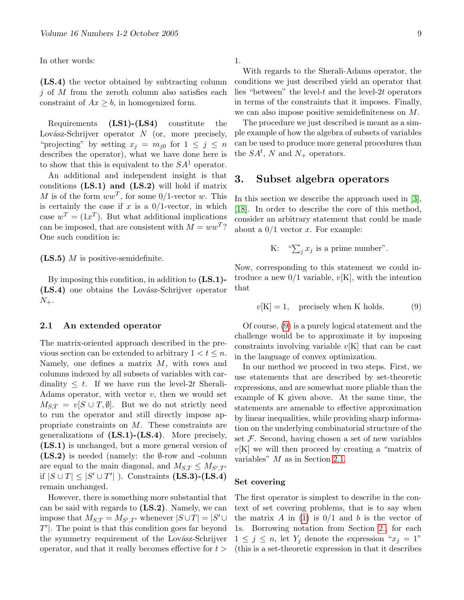In other words:

(LS.4) the vector obtained by subtracting column  $i$  of M from the zeroth column also satisfies each constraint of  $Ax \geq b$ , in homogenized form.

Requirements (LS1)-(LS4) constitute the Lovász-Schrijver operator  $N$  (or, more precisely, "projecting" by setting  $x_j = m_{j0}$  for  $1 \leq j \leq n$ describes the operator), what we have done here is to show that this is equivalent to the  $SA<sup>1</sup>$  operator.

An additional and independent insight is that conditions  $(LS.1)$  and  $(LS.2)$  will hold if matrix M is of the form  $ww^T$ , for some 0/1-vector w. This is certainly the case if  $x$  is a  $0/1$ -vector, in which case  $w^T = (1x^T)$ . But what additional implications can be imposed, that are consistent with  $M = ww<sup>T</sup>$ ? One such condition is:

 $(LS.5)$  *M* is positive-semidefinite.

By imposing this condition, in addition to (LS.1)- (LS.4) one obtains the Lovász-Schrijver operator  $N_{+}.$ 

#### <span id="page-8-1"></span>2.1 An extended operator

The matrix-oriented approach described in the previous section can be extended to arbitrary  $1 < t \leq n$ . Namely, one defines a matrix M, with rows and columns indexed by all subsets of variables with cardinality  $\leq t$ . If we have run the level-2t Sherali-Adams operator, with vector  $v$ , then we would set  $M_{S,T} = v[S \cup T, \emptyset]$ . But we do not strictly need to run the operator and still directly impose appropriate constraints on  $M$ . These constraints are generalizations of  $(LS.1)$ - $(LS.4)$ . More precisely, (LS.1) is unchanged, but a more general version of  $(LS.2)$  is needed (namely: the  $\emptyset$ -row and -column are equal to the main diagonal, and  $M_{S,T} \leq M_{S',T'}$ if  $|S \cup T| \leq |S' \cup T'|$  ). Constraints (LS.3)-(LS.4) remain unchanged.

However, there is something more substantial that can be said with regards to (LS.2). Namely, we can impose that  $M_{S,T} = M_{S',T'}$  whenever  $|S \cup T| = |S' \cup T'|$  $T'$ . The point is that this condition goes far beyond the symmetry requirement of the Lovász-Schrijver operator, and that it really becomes effective for  $t >$ 

1.

With regards to the Sherali-Adams operator, the conditions we just described yield an operator that lies "between" the level- $t$  and the level- $2t$  operators in terms of the constraints that it imposes. Finally, we can also impose positive semidefiniteness on M.

The procedure we just described is meant as a simple example of how the algebra of subsets of variables can be used to produce more general procedures than the  $SA<sup>t</sup>$ , N and  $N_+$  operators.

## <span id="page-8-2"></span>3. Subset algebra operators

In this section we describe the approach used in [\[3\]](#page-13-0), [\[18\]](#page-13-5). In order to describe the core of this method, consider an arbitrary statement that could be made about a  $0/1$  vector x. For example:

K: "
$$
\sum_j x_j
$$
 is a prime number".

Now, corresponding to this statement we could introduce a new  $0/1$  variable,  $v[K]$ , with the intention that

<span id="page-8-0"></span> $v[K] = 1$ , precisely when K holds. (9)

Of course, [\(9\)](#page-8-0) is a purely logical statement and the challenge would be to approximate it by imposing constraints involving variable  $v[K]$  that can be cast in the language of convex optimization.

In our method we proceed in two steps. First, we use statements that are described by set-theoretic expressions, and are somewhat more pliable than the example of K given above. At the same time, the statements are amenable to effective approximation by linear inequalities, while providing sharp information on the underlying combinatorial structure of the set  $F$ . Second, having chosen a set of new variables  $v[K]$  we will then proceed by creating a "matrix of variables" M as in Section [2.1.](#page-8-1)

#### Set covering

The first operator is simplest to describe in the context of set covering problems, that is to say when the matrix A in [\(1\)](#page-7-4) is  $0/1$  and b is the vector of 1s. Borrowing notation from Section [2.,](#page-6-2) for each  $1 \leq j \leq n$ , let  $Y_j$  denote the expression " $x_j = 1$ " (this is a set-theoretic expression in that it describes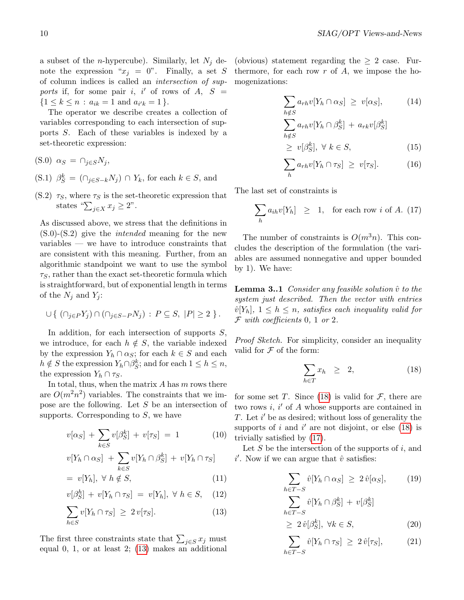a subset of the *n*-hypercube). Similarly, let  $N_j$  denote the expression " $x_j = 0$ ". Finally, a set S of column indices is called an intersection of supports if, for some pair i, i' of rows of  $A, S =$  $\{1 \leq k \leq n : a_{ik} = 1 \text{ and } a_{i'k} = 1 \}.$ 

The operator we describe creates a collection of variables corresponding to each intersection of supports S. Each of these variables is indexed by a set-theoretic expression:

- (S.0)  $\alpha_S = \cap_{i \in S} N_i$ ,
- (S.1)  $\beta_S^k = (\bigcap_{j \in S-k} N_j) \cap Y_k$ , for each  $k \in S$ , and
- (S.2)  $\tau_S$ , where  $\tau_S$  is the set-theoretic expression that states " $\sum_{j\in X} x_j \geq 2$ ".

As discussed above, we stress that the definitions in  $(S.0)$ - $(S.2)$  give the *intended* meaning for the new variables — we have to introduce constraints that are consistent with this meaning. Further, from an algorithmic standpoint we want to use the symbol  $\tau_S$ , rather than the exact set-theoretic formula which is straightforward, but of exponential length in terms of the  $N_j$  and  $Y_j$ :

$$
\cup \{ (\cap_{j\in P} Y_j) \cap (\cap_{j\in S-P} N_j) : P \subseteq S, |P| \ge 2 \}.
$$

In addition, for each intersection of supports  $S$ , we introduce, for each  $h \notin S$ , the variable indexed by the expression  $Y_h \cap \alpha_S$ ; for each  $k \in S$  and each  $h \notin S$  the expression  $Y_h \cap \beta_S^k$ ; and for each  $1 \leq h \leq n$ , the expression  $Y_h \cap \tau_S$ .

In total, thus, when the matrix  $A$  has  $m$  rows there are  $O(m^2n^2)$  variables. The constraints that we impose are the following. Let S be an intersection of supports. Corresponding to  $S$ , we have

<span id="page-9-0"></span>
$$
v[\alpha_S] + \sum_{k \in S} v[\beta_S^k] + v[\tau_S] = 1 \tag{10}
$$

$$
v[Y_h \cap \alpha_S] + \sum_{k \in S} v[Y_h \cap \beta_S^k] + v[Y_h \cap \tau_S]
$$

$$
= v[Y_h], \ \forall \ h \notin S,
$$
\n<sup>(11)</sup>

$$
v[\beta_S^h] + v[Y_h \cap \tau_S] = v[Y_h], \ \forall \ h \in S, \quad (12)
$$

$$
\sum_{h \in S} v[Y_h \cap \tau_S] \ge 2v[\tau_S]. \tag{13}
$$

The first three constraints state that  $\sum_{j \in S} x_j$  must equal 0, 1, or at least 2; [\(13\)](#page-9-0) makes an additional (obvious) statement regarding the  $\geq 2$  case. Furthermore, for each row  $r$  of  $A$ , we impose the homogenizations:

<span id="page-9-4"></span>
$$
\sum_{h \notin S} a_{rh} v[Y_h \cap \alpha_S] \ge v[\alpha_S], \tag{14}
$$

$$
\sum_{h \notin S} a_{rh} v[Y_h \cap \beta_S^k] + a_{rk} v[\beta_S^k]
$$
  
> 
$$
\sum_{v} a_{\alpha}^{\beta_k} \forall k \in S
$$
 (15)

$$
\geq v[\beta_S^k], \ \forall \ k \in S,\tag{15}
$$

$$
\sum_{h} a_{rh} v[Y_h \cap \tau_S] \ge v[\tau_S]. \tag{16}
$$

The last set of constraints is

<span id="page-9-2"></span>
$$
\sum_{h} a_{ih} v[Y_h] \geq 1, \text{ for each row } i \text{ of } A. (17)
$$

The number of constraints is  $O(m^3n)$ . This concludes the description of the formulation (the variables are assumed nonnegative and upper bounded by 1). We have:

**Lemma 3..1** Consider any feasible solution  $\hat{v}$  to the system just described. Then the vector with entries  $\hat{v}[Y_h], 1 \leq h \leq n$ , satisfies each inequality valid for  $\mathcal F$  with coefficients 0, 1 or 2.

Proof Sketch. For simplicity, consider an inequality valid for  $\mathcal F$  of the form:

<span id="page-9-1"></span>
$$
\sum_{h \in T} x_h \geq 2, \tag{18}
$$

for some set T. Since [\(18\)](#page-9-1) is valid for  $\mathcal{F}$ , there are two rows  $i, i'$  of  $A$  whose supports are contained in T. Let  $i'$  be as desired; without loss of generality the supports of i and i' are not disjoint, or else  $(18)$  is trivially satisfied by [\(17\)](#page-9-2).

Let  $S$  be the intersection of the supports of  $i$ , and  $i'$ . Now if we can argue that  $\hat{v}$  satisfies:

<span id="page-9-3"></span>
$$
\sum_{h \in T - S} \hat{v}[Y_h \cap \alpha_S] \ge 2 \hat{v}[\alpha_S], \qquad (19)
$$

$$
\sum_{h \in T - S} \hat{v}[Y_h \cap \beta_S^k] + v[\beta_S^k]
$$

$$
\ge 2 \hat{v}[\beta_S^k], \ \forall k \in S, \qquad (20)
$$

$$
\sum_{h \in T - S} \hat{v}[Y_h \cap \tau_S] \ge 2 \hat{v}[\tau_S], \tag{21}
$$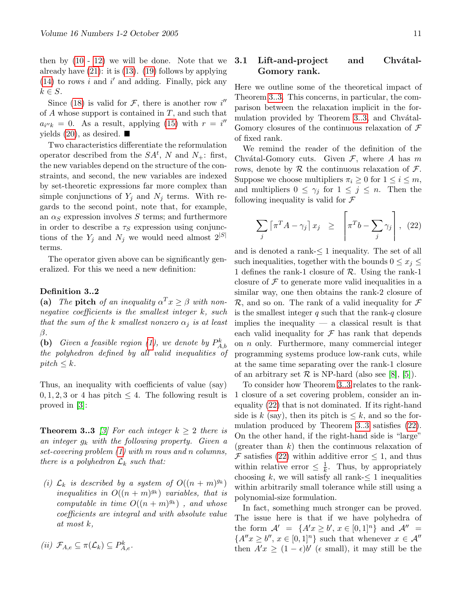then by  $(10 - 12)$  $(10 - 12)$  $(10 - 12)$  we will be done. Note that we already have [\(21\)](#page-9-3): it is [\(13\)](#page-9-0). [\(19\)](#page-9-3) follows by applying [\(14\)](#page-9-4) to rows  $i$  and  $i'$  and adding. Finally, pick any  $k \in S$ .

Since [\(18\)](#page-9-1) is valid for  $\mathcal{F}$ , there is another row i'' of  $A$  whose support is contained in  $T$ , and such that  $a_{i''k} = 0$ . As a result, applying [\(15\)](#page-9-4) with  $r = i''$ yields  $(20)$ , as desired.

Two characteristics differentiate the reformulation operator described from the  $SA<sup>t</sup>$ , N and  $N_{+}$ : first, the new variables depend on the structure of the constraints, and second, the new variables are indexed by set-theoretic expressions far more complex than simple conjunctions of  $Y_j$  and  $N_j$  terms. With regards to the second point, note that, for example, an  $\alpha_S$  expression involves S terms; and furthermore in order to describe a  $\tau<sub>S</sub>$  expression using conjunctions of the  $Y_j$  and  $N_j$  we would need almost  $2^{|S|}$ terms.

The operator given above can be significantly generalized. For this we need a new definition:

#### Definition 3..2

(a) The pitch of an inequality  $\alpha^T x \geq \beta$  with nonnegative coefficients is the smallest integer k, such that the sum of the k smallest nonzero  $\alpha_i$  is at least  $\beta$ .

(b) Given a feasible region [\(1\)](#page-7-4), we denote by  $P_{A,b}^k$ the polyhedron defined by all valid inequalities of  $pitch \leq k$ .

Thus, an inequality with coefficients of value (say)  $0, 1, 2, 3$  or 4 has pitch  $\leq 4$ . The following result is proved in [\[3\]](#page-13-0):

<span id="page-10-0"></span>**Theorem 3..3** [\[3\]](#page-13-0) For each integer  $k \geq 2$  there is an integer  $g_k$  with the following property. Given a set-covering problem [\(1\)](#page-7-4) with m rows and n columns, there is a polyhedron  $\mathcal{L}_k$  such that:

(i)  $\mathcal{L}_k$  is described by a system of  $O((n + m)^{g_k})$ inequalities in  $O((n + m)^{g_k})$  variables, that is computable in time  $O((n+m)^{g_k})$ , and whose coefficients are integral and with absolute value at most k,

$$
(ii) \mathcal{F}_{A,e} \subseteq \pi(\mathcal{L}_k) \subseteq P_{A,e}^k.
$$

#### 3.1 Lift-and-project and Chvátal-Gomory rank.

Here we outline some of the theoretical impact of Theorem [3..3.](#page-10-0) This concerns, in particular, the comparison between the relaxation implicit in the for-mulation provided by Theorem [3..3,](#page-10-0) and Chvátal-Gomory closures of the continuous relaxation of  $\mathcal F$ of fixed rank.

We remind the reader of the definition of the Chvátal-Gomory cuts. Given  $\mathcal{F}$ , where A has m rows, denote by  $R$  the continuous relaxation of  $\mathcal{F}$ . Suppose we choose multipliers  $\pi_i \geq 0$  for  $1 \leq i \leq m$ , and multipliers  $0 \leq \gamma_j$  for  $1 \leq j \leq n$ . Then the following inequality is valid for  $\mathcal F$ 

<span id="page-10-1"></span>
$$
\sum_{j} \left[ \pi^{T} A - \gamma_{j} \right] x_{j} \geq \left[ \pi^{T} b - \sum_{j} \gamma_{j} \right], (22)
$$

<span id="page-10-2"></span>and is denoted a rank-≤ 1 inequality. The set of all such inequalities, together with the bounds  $0 \leq x_i \leq$ 1 defines the rank-1 closure of  $R$ . Using the rank-1 closure of  $\mathcal F$  to generate more valid inequalities in a similar way, one then obtains the rank-2 closure of  $\mathcal{R}$ , and so on. The rank of a valid inequality for  $\mathcal F$ is the smallest integer  $q$  such that the rank- $q$  closure implies the inequality  $-$  a classical result is that each valid inequality for  $\mathcal F$  has rank that depends on n only. Furthermore, many commercial integer programming systems produce low-rank cuts, while at the same time separating over the rank-1 closure of an arbitrary set  $\mathcal R$  is NP-hard (also see [\[8\]](#page-13-6), [\[5\]](#page-13-7)).

To consider how Theorem [3..3](#page-10-0) relates to the rank-1 closure of a set covering problem, consider an inequality [\(22\)](#page-10-1) that is not dominated. If its right-hand side is k (say), then its pitch is  $\leq k$ , and so the formulation produced by Theorem [3..3](#page-10-0) satisfies [\(22\)](#page-10-1). On the other hand, if the right-hand side is "large" (greater than  $k$ ) then the continuous relaxation of F satisfies [\(22\)](#page-10-1) within additive error  $\leq$  1, and thus within relative error  $\leq \frac{1}{k}$  $\frac{1}{k}$ . Thus, by appropriately choosing k, we will satisfy all rank- $\leq 1$  inequalities within arbitrarily small tolerance while still using a polynomial-size formulation.

In fact, something much stronger can be proved. The issue here is that if we have polyhedra of the form  $\mathcal{A}' = \{A'x \geq b', x \in [0,1]^n\}$  and  $\mathcal{A}'' =$  ${A''x \ge b'', x \in [0,1]^n}$  such that whenever  $x \in A''$ then  $A'x \geq (1 - \epsilon)b'$  ( $\epsilon$  small), it may still be the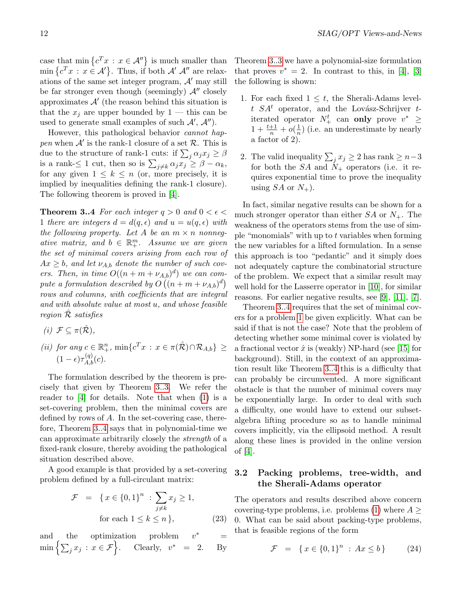case that  $\min \{c^T x : x \in \mathcal{A}''\}$  is much smaller than  $\min \{c^T x : x \in \mathcal{A}'\}.$  Thus, if both  $\mathcal{A}'$   $\mathcal{A}''$  are relaxations of the same set integer program,  $A'$  may still be far stronger even though (seemingly)  $\mathcal{A}''$  closely approximates  $\mathcal{A}'$  (the reason behind this situation is that the  $x_i$  are upper bounded by  $1$  — this can be used to generate small examples of such  $A', A''$ ).

However, this pathological behavior cannot happen when  $\mathcal{A}'$  is the rank-1 closure of a set  $\mathcal{R}$ . This is due to the structure of rank-1 cuts: if  $\sum_j \alpha_j x_j \geq \beta$ is a rank- $\leq 1$  cut, then so is  $\sum_{j \neq k} \alpha_j x_j \geq \beta - \alpha_k$ , for any given  $1 \leq k \leq n$  (or, more precisely, it is implied by inequalities defining the rank-1 closure). The following theorem is proved in [\[4\]](#page-13-1).

<span id="page-11-0"></span>**Theorem 3..4** For each integer  $q > 0$  and  $0 < \epsilon <$ 1 there are integers  $d = d(q, \epsilon)$  and  $u = u(q, \epsilon)$  with the following property. Let A be an  $m \times n$  nonnegative matrix, and  $b \in \mathbb{R}^m_+$ . Assume we are given the set of minimal covers arising from each row of  $Ax \geq b$ , and let  $\nu_{A,b}$  denote the number of such covers. Then, in time  $O((n + m + \nu_{A,b})^d)$  we can compute a formulation described by  $O(n + m + \nu_{A,b})^d$ rows and columns, with coefficients that are integral and with absolute value at most u, and whose feasible region  $\mathcal R$  satisfies

$$
(i) \mathcal{F} \subseteq \pi(\hat{\mathcal{R}}),
$$

(ii) for any  $c \in \mathbb{R}_+^n$ ,  $\min\{c^T x : x \in \pi(\hat{\mathcal{R}}) \cap \mathcal{R}_{A,b}\}$   $\geq$  $(1-\epsilon)\tau_{A,b}^{(q)}(c).$ 

The formulation described by the theorem is precisely that given by Theorem [3..3.](#page-10-0) We refer the reader to [\[4\]](#page-13-1) for details. Note that when [\(1\)](#page-7-4) is a set-covering problem, then the minimal covers are defined by rows of  $A$ . In the set-covering case, therefore, Theorem [3..4](#page-11-0) says that in polynomial-time we can approximate arbitrarily closely the strength of a fixed-rank closure, thereby avoiding the pathological situation described above.

A good example is that provided by a set-covering problem defined by a full-circulant matrix:

$$
\mathcal{F} = \{x \in \{0, 1\}^n : \sum_{j \neq k} x_j \ge 1,
$$
  
for each  $1 \le k \le n \}$ , (23)

and the optimization problem  $v^*$ <sup>∗</sup> =  $\min\left\{\sum_j x_j \, : \, x \in \mathcal{F}\right\}$  $\text{Clearly, } v^* = 2. \text{ By}$  Theorem [3..3](#page-10-0) we have a polynomial-size formulation that proves  $v^* = 2$ . In contrast to this, in [\[4\]](#page-13-1), [\[3\]](#page-13-0) the following is shown:

- 1. For each fixed  $1 \leq t$ , the Sherali-Adams levelt  $SA<sup>t</sup>$  operator, and the Lovász-Schrijver titerated operator  $N^t_+$  can **only** prove  $v^* \geq$  $1 + \frac{t+1}{n} + o(\frac{1}{n})$  $\frac{1}{n}$ ) (i.e. an underestimate by nearly a factor of 2).
- 2. The valid inequality  $\sum_j x_j \geq 2$  has rank  $\geq n-3$ for both the  $SA$  and  $N_{+}$  operators (i.e. it requires exponential time to prove the inequality using  $SA$  or  $N_{+}$ ).

In fact, similar negative results can be shown for a much stronger operator than either  $SA$  or  $N_{+}$ . The weakness of the operators stems from the use of simple "monomials" with up to  $t$  variables when forming the new variables for a lifted formulation. In a sense this approach is too "pedantic" and it simply does not adequately capture the combinatorial structure of the problem. We expect that a similar result may well hold for the Lasserre operator in [\[10\]](#page-13-8), for similar reasons. For earlier negative results, see [\[9\]](#page-13-9), [\[11\]](#page-13-4), [\[7\]](#page-13-10).

Theorem [3..4](#page-11-0) requires that the set of minimal covers for a problem [1](#page-7-4) be given explicitly. What can be said if that is not the case? Note that the problem of detecting whether some minimal cover is violated by a fractional vector  $\hat{x}$  is (weakly) NP-hard (see [\[15\]](#page-13-11) for background). Still, in the context of an approximation result like Theorem [3..4](#page-11-0) this is a difficulty that can probably be circumvented. A more significant obstacle is that the number of minimal covers may be exponentially large. In order to deal with such a difficulty, one would have to extend our subsetalgebra lifting procedure so as to handle minimal covers implicitly, via the ellipsoid method. A result along these lines is provided in the online version of [\[4\]](#page-13-1).

### 3.2 Packing problems, tree-width, and the Sherali-Adams operator

The operators and results described above concern covering-type problems, i.e. problems  $(1)$  where  $A \geq$ 0. What can be said about packing-type problems, that is feasible regions of the form

<span id="page-11-1"></span>
$$
\mathcal{F} = \{ x \in \{0, 1\}^n : Ax \le b \}
$$
 (24)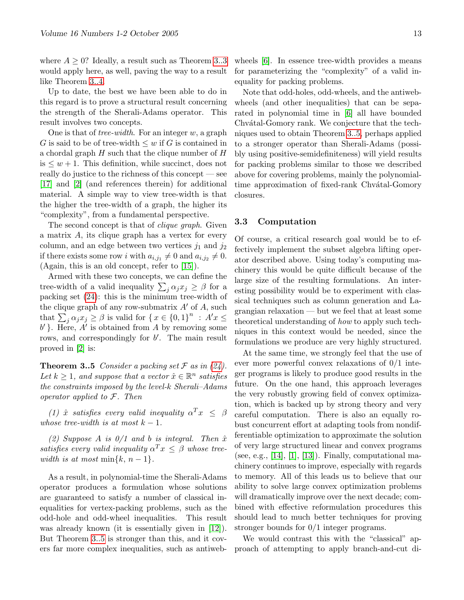where  $A > 0$ ? Ideally, a result such as Theorem [3..3](#page-10-0) would apply here, as well, paving the way to a result like Theorem [3..4.](#page-11-0)

Up to date, the best we have been able to do in this regard is to prove a structural result concerning the strength of the Sherali-Adams operator. This result involves two concepts.

One is that of *tree-width*. For an integer  $w$ , a graph G is said to be of tree-width  $\leq w$  if G is contained in a chordal graph  $H$  such that the clique number of  $H$  $is \leq w + 1$ . This definition, while succinct, does not really do justice to the richness of this concept — see [\[17\]](#page-13-12) and [\[2\]](#page-13-13) (and references therein) for additional material. A simple way to view tree-width is that the higher the tree-width of a graph, the higher its "complexity", from a fundamental perspective.

The second concept is that of *clique graph*. Given a matrix A, its clique graph has a vertex for every column, and an edge between two vertices  $j_1$  and  $j_2$ if there exists some row *i* with  $a_{i,j_1} \neq 0$  and  $a_{i,j_2} \neq 0$ . (Again, this is an old concept, refer to [\[15\]](#page-13-11)).

Armed with these two concepts, we can define the tree-width of a valid inequality  $\sum_j \alpha_j x_j \geq \beta$  for a packing set [\(24\)](#page-11-1): this is the minimum tree-width of the clique graph of any row-submatrix  $A'$  of A, such that  $\sum_j \alpha_j x_j \ge \beta$  is valid for  $\{x \in \{0,1\}^n : A'x \le$  $b'$ }. Here,  $A'$  is obtained from A by removing some rows, and correspondingly for  $b'$ . The main result proved in [\[2\]](#page-13-13) is:

<span id="page-12-0"></span>**Theorem 3..5** Consider a packing set  $\mathcal F$  as in [\(24\)](#page-11-1). Let  $k \geq 1$ , and suppose that a vector  $\hat{x} \in \mathbb{R}^n$  satisfies the constraints imposed by the level-k Sherali–Adams operator applied to F. Then

(1)  $\hat{x}$  satisfies every valid inequality  $\alpha^T x \leq \beta$ whose tree-width is at most  $k-1$ .

(2) Suppose A is  $0/1$  and b is integral. Then  $\hat{x}$ satisfies every valid inequality  $\alpha^T x \leq \beta$  whose treewidth is at most min $\{k, n-1\}.$ 

As a result, in polynomial-time the Sherali-Adams operator produces a formulation whose solutions are guaranteed to satisfy a number of classical inequalities for vertex-packing problems, such as the odd-hole and odd-wheel inequalities. This result was already known (it is essentially given in [\[12\]](#page-13-3)). But Theorem [3..5](#page-12-0) is stronger than this, and it covers far more complex inequalities, such as antiwebwheels [\[6\]](#page-13-14). In essence tree-width provides a means for parameterizing the "complexity" of a valid inequality for packing problems.

Note that odd-holes, odd-wheels, and the antiwebwheels (and other inequalities) that can be separated in polynomial time in [\[6\]](#page-13-14) all have bounded Chvátal-Gomory rank. We conjecture that the techniques used to obtain Theorem [3..5,](#page-12-0) perhaps applied to a stronger operator than Sherali-Adams (possibly using positive-semidefiniteness) will yield results for packing problems similar to those we described above for covering problems, mainly the polynomialtime approximation of fixed-rank Chvátal-Gomory closures.

#### 3.3 Computation

Of course, a critical research goal would be to effectively implement the subset algebra lifting operator described above. Using today's computing machinery this would be quite difficult because of the large size of the resulting formulations. An interesting possibility would be to experiment with classical techniques such as column generation and Lagrangian relaxation — but we feel that at least some theoretical understanding of how to apply such techniques in this context would be needed, since the formulations we produce are very highly structured.

At the same time, we strongly feel that the use of ever more powerful convex relaxations of 0/1 integer programs is likely to produce good results in the future. On the one hand, this approach leverages the very robustly growing field of convex optimization, which is backed up by strong theory and very careful computation. There is also an equally robust concurrent effort at adapting tools from nondifferentiable optimization to approximate the solution of very large structured linear and convex programs (see, e.g., [\[14\]](#page-13-15), [\[1\]](#page-13-16), [\[13\]](#page-13-17)). Finally, computational machinery continues to improve, especially with regards to memory. All of this leads us to believe that our ability to solve large convex optimization problems will dramatically improve over the next decade; combined with effective reformulation procedures this should lead to much better techniques for proving stronger bounds for 0/1 integer programs.

We would contrast this with the "classical" approach of attempting to apply branch-and-cut di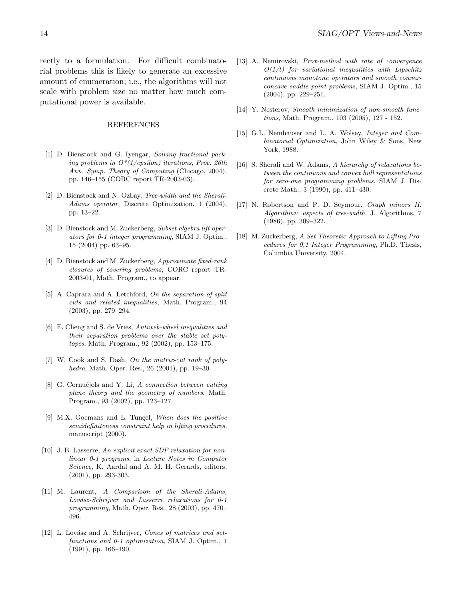rectly to a formulation. For difficult combinatorial problems this is likely to generate an excessive amount of enumeration; i.e., the algorithms will not scale with problem size no matter how much computational power is available.

#### **REFERENCES**

- <span id="page-13-16"></span>[1] D. Bienstock and G. Iyengar, Solving fractional packing problems in  $O^*(1/epsilon)$  iterations, Proc. 26th Ann. Symp. Theory of Computing (Chicago, 2004), pp. 146–155 (CORC report TR-2003-03).
- <span id="page-13-13"></span>[2] D. Bienstock and N. Ozbay, Tree-width and the Sherali-Adams operator, Discrete Optimization, 1 (2004), pp. 13–22.
- <span id="page-13-0"></span>[3] D. Bienstock and M. Zuckerberg, Subset algebra lift operators for 0-1 integer programming, SIAM J. Optim., 15 (2004) pp. 63–95.
- <span id="page-13-1"></span>[4] D. Bienstock and M. Zuckerberg, Approximate fixed-rank closures of covering problems, CORC report TR-2003-01, Math. Program., to appear.
- <span id="page-13-7"></span>[5] A. Caprara and A. Letchford, On the separation of split cuts and related inequalities, Math. Program., 94 (2003), pp. 279–294.
- <span id="page-13-14"></span>[6] E. Cheng and S. de Vries, Antiweb-wheel inequalities and their separation problems over the stable set polytopes, Math. Program., 92 (2002), pp. 153–175.
- <span id="page-13-10"></span>[7] W. Cook and S. Dash, On the matrix-cut rank of polyhedra, Math. Oper. Res., 26 (2001), pp. 19–30.
- <span id="page-13-6"></span>[8] G. Cornuéjols and Y. Li, A connection between cutting plane theory and the geometry of numbers, Math. Program., 93 (2002), pp. 123–127.
- <span id="page-13-9"></span>[9] M.X. Goemans and L. Tunçel, When does the positive semidefiniteness constraint help in lifting procedures, manuscript (2000).
- <span id="page-13-8"></span>[10] J. B. Lasserre, An explicit exact SDP relaxation for nonlinear 0-1 programs, in Lecture Notes in Computer Science, K. Aardal and A. M. H. Gerards, editors, (2001), pp. 293-303.
- <span id="page-13-4"></span>[11] M. Laurent, A Comparison of the Sherali-Adams, Lovász-Schrijver and Lasserre relaxations for 0-1 programming, Math. Oper. Res., 28 (2003), pp. 470– 496.
- <span id="page-13-3"></span>[12] L. Lovász and A. Schrijver, Cones of matrices and setfunctions and 0-1 optimization, SIAM J. Optim., 1 (1991), pp. 166–190.
- <span id="page-13-17"></span>[13] A. Nemirovski, *Prox-method with rate of convergence*  $O(1/t)$  for variational inequalities with Lipschitz continuous monotone operators and smooth convexconcave saddle point problems, SIAM J. Optim., 15 (2004), pp. 229–251.
- <span id="page-13-15"></span>[14] Y. Nesterov, Smooth minimization of non-smooth functions, Math. Program., 103 (2005), 127 - 152.
- <span id="page-13-11"></span>[15] G.L. Nemhauser and L. A. Wolsey, *Integer and Com*binatorial Optimization, John Wiley & Sons, New York, 1988.
- <span id="page-13-2"></span>[16] S. Sherali and W. Adams, A hierarchy of relaxations between the continuous and convex hull representations for zero-one programming problems, SIAM J. Discrete Math., 3 (1990), pp. 411–430.
- <span id="page-13-12"></span>[17] N. Robertson and P. D. Seymour, Graph minors II: Algorithmic aspects of tree-width, J. Algorithms, 7 (1986), pp. 309–322.
- <span id="page-13-5"></span>[18] M. Zuckerberg, A Set Theoretic Approach to Lifting Procedures for 0,1 Integer Programming, Ph.D. Thesis, Columbia University, 2004.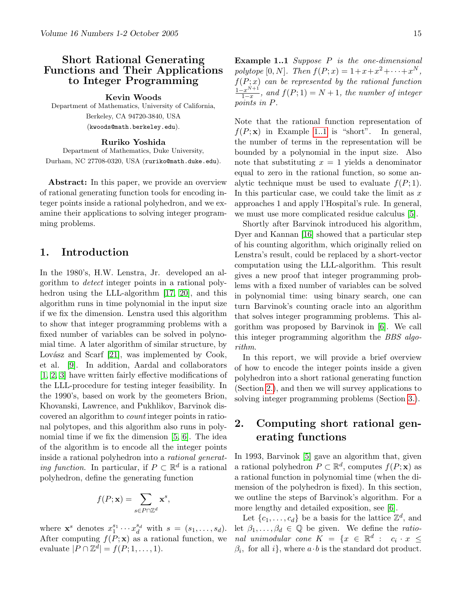# <span id="page-14-0"></span>Short Rational Generating Functions and Their Applications to Integer Programming

Kevin Woods

Department of Mathematics, University of California, Berkeley, CA 94720-3840, USA (kwoods@math.berkeley.edu).

#### Ruriko Yoshida

Department of Mathematics, Duke University, Durham, NC 27708-0320, USA (ruriko@math.duke.edu).

Abstract: In this paper, we provide an overview of rational generating function tools for encoding integer points inside a rational polyhedron, and we examine their applications to solving integer programming problems.

## 1. Introduction

In the 1980's, H.W. Lenstra, Jr. developed an algorithm to detect integer points in a rational poly-hedron using the LLL-algorithm [\[17,](#page-18-0) [20\]](#page-18-1), and this algorithm runs in time polynomial in the input size if we fix the dimension. Lenstra used this algorithm to show that integer programming problems with a fixed number of variables can be solved in polynomial time. A later algorithm of similar structure, by Lovász and Scarf  $[21]$ , was implemented by Cook, et al. [\[9\]](#page-18-3). In addition, Aardal and collaborators [\[1,](#page-17-0) [2,](#page-17-1) [3\]](#page-18-4) have written fairly effective modifications of the LLL-procedure for testing integer feasibility. In the 1990's, based on work by the geometers Brion, Khovanski, Lawrence, and Pukhlikov, Barvinok discovered an algorithm to count integer points in rational polytopes, and this algorithm also runs in polynomial time if we fix the dimension [\[5,](#page-18-5) [6\]](#page-18-6). The idea of the algorithm is to encode all the integer points inside a rational polyhedron into a rational generat*ing function*. In particular, if  $P \subset \mathbb{R}^d$  is a rational polyhedron, define the generating function

$$
f(P; \mathbf{x}) = \sum_{s \in P \cap \mathbb{Z}^d} \mathbf{x}^s,
$$

<span id="page-14-1"></span>where  $\mathbf{x}^s$  denotes  $x_1^{s_1} \cdots x_d^{s_d}$  with  $s = (s_1, \ldots, s_d)$ . After computing  $f(P; \mathbf{x})$  as a rational function, we evaluate  $|P \cap \mathbb{Z}^d| = f(P; 1, \dots, 1).$ 

**Example 1..1** Suppose  $P$  is the one-dimensional polytope [0, N]. Then  $f(P; x) = 1 + x + x^2 + \cdots + x^N$ ,  $f(P; x)$  can be represented by the rational function  $1-x^{N+1}$  $\frac{f(x^{N+1})}{1-x}$ , and  $f(P; 1) = N + 1$ , the number of integer points in P.

Note that the rational function representation of  $f(P; \mathbf{x})$  in Example [1..1](#page-14-1) is "short". In general, the number of terms in the representation will be bounded by a polynomial in the input size. Also note that substituting  $x = 1$  yields a denominator equal to zero in the rational function, so some analytic technique must be used to evaluate  $f(P; 1)$ . In this particular case, we could take the limit as  $x$ approaches 1 and apply l'Hospital's rule. In general, we must use more complicated residue calculus [\[5\]](#page-18-5).

Shortly after Barvinok introduced his algorithm, Dyer and Kannan [\[16\]](#page-18-7) showed that a particular step of his counting algorithm, which originally relied on Lenstra's result, could be replaced by a short-vector computation using the LLL-algorithm. This result gives a new proof that integer programming problems with a fixed number of variables can be solved in polynomial time: using binary search, one can turn Barvinok's counting oracle into an algorithm that solves integer programming problems. This algorithm was proposed by Barvinok in [\[6\]](#page-18-6). We call this integer programming algorithm the BBS algorithm.

In this report, we will provide a brief overview of how to encode the integer points inside a given polyhedron into a short rational generating function (Section [2.\)](#page-6-2), and then we will survey applications to solving integer programming problems (Section [3.\)](#page-8-2).

# 2. Computing short rational generating functions

In 1993, Barvinok [\[5\]](#page-18-5) gave an algorithm that, given a rational polyhedron  $P \subset \mathbb{R}^d$ , computes  $f(P; \mathbf{x})$  as a rational function in polynomial time (when the dimension of the polyhedron is fixed). In this section, we outline the steps of Barvinok's algorithm. For a more lengthy and detailed exposition, see [\[6\]](#page-18-6).

Let  $\{c_1, \ldots, c_d\}$  be a basis for the lattice  $\mathbb{Z}^d$ , and let  $\beta_1, \ldots, \beta_d \in \mathbb{Q}$  be given. We define the *ratio*nal unimodular cone  $K = \{x \in \mathbb{R}^d : c_i \cdot x \leq$  $\beta_i$ , for all i, where  $a \cdot b$  is the standard dot product.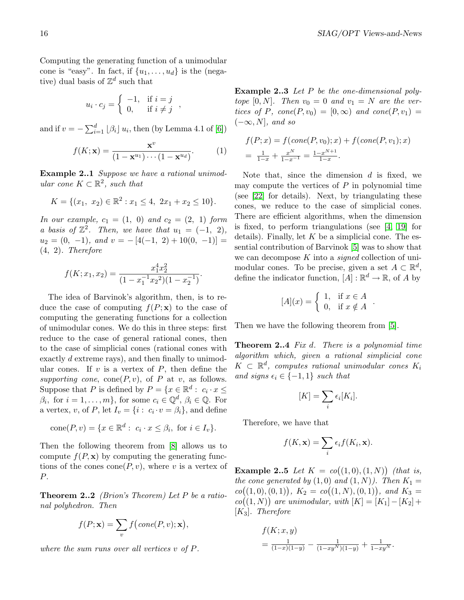Computing the generating function of a unimodular cone is "easy". In fact, if  $\{u_1, \ldots, u_d\}$  is the (negative) dual basis of  $\mathbb{Z}^d$  such that

$$
u_i \cdot c_j = \begin{cases} -1, & \text{if } i = j \\ 0, & \text{if } i \neq j \end{cases}
$$

and if  $v = -\sum_{i=1}^{d} \lfloor \beta_i \rfloor u_i$ , then (by Lemma 4.1 of [\[6\]](#page-18-6))

$$
f(K; \mathbf{x}) = \frac{\mathbf{x}^v}{(1 - \mathbf{x}^{u_1}) \cdots (1 - \mathbf{x}^{u_d})}. \tag{1}
$$

Example 2..1 Suppose we have a rational unimodular cone  $K \subset \mathbb{R}^2$ , such that

$$
K = \{(x_1, x_2) \in \mathbb{R}^2 : x_1 \le 4, 2x_1 + x_2 \le 10\}.
$$

In our example,  $c_1 = (1, 0)$  and  $c_2 = (2, 1)$  form a basis of  $\mathbb{Z}^2$ . Then, we have that  $u_1 = (-1, 2)$ ,  $u_2 = (0, -1),$  and  $v = -[4(-1, 2) + 10(0, -1)] =$ (4, 2). Therefore

$$
f(K; x_1, x_2) = \frac{x_1^4 x_2^2}{(1 - x_1^{-1} x_2^2)(1 - x_2^{-1})}.
$$

The idea of Barvinok's algorithm, then, is to reduce the case of computing  $f(P; \mathbf{x})$  to the case of computing the generating functions for a collection of unimodular cones. We do this in three steps: first reduce to the case of general rational cones, then to the case of simplicial cones (rational cones with exactly d extreme rays), and then finally to unimodular cones. If  $v$  is a vertex of  $P$ , then define the supporting cone,  $cone(P, v)$ , of P at v, as follows. Suppose that P is defined by  $P = \{x \in \mathbb{R}^d : c_i \cdot x \leq$  $\beta_i$ , for  $i = 1, ..., m$ , for some  $c_i \in \mathbb{Q}^d$ ,  $\beta_i \in \mathbb{Q}$ . For a vertex, v, of P, let  $I_v = \{i : c_i \cdot v = \beta_i\}$ , and define

cone
$$
(P, v) = \{x \in \mathbb{R}^d : c_i \cdot x \leq \beta_i, \text{ for } i \in I_v\}.
$$

Then the following theorem from [\[8\]](#page-18-8) allows us to compute  $f(P, x)$  by computing the generating functions of the cones cone  $(P, v)$ , where v is a vertex of P.

<span id="page-15-0"></span>**Theorem 2..2** *(Brion's Theorem)* Let  $P$  be a rational polyhedron. Then

$$
f(P; \mathbf{x}) = \sum_{v} f\big(\text{cone}(P, v); \mathbf{x}\big),
$$

where the sum runs over all vertices v of P.

Example 2..3 Let P be the one-dimensional polytope  $[0, N]$ . Then  $v_0 = 0$  and  $v_1 = N$  are the vertices of P, cone(P,  $v_0$ ) = [0,  $\infty$ ) and cone(P,  $v_1$ ) =  $(-\infty, N]$ , and so

$$
f(P; x) = f(cone(P, v_0); x) + f(cone(P, v_1); x)
$$
  
=  $\frac{1}{1-x} + \frac{x^N}{1-x^{-1}} = \frac{1-x^{N+1}}{1-x}.$ 

Note that, since the dimension  $d$  is fixed, we may compute the vertices of  $P$  in polynomial time (see [\[22\]](#page-18-9) for details). Next, by triangulating these cones, we reduce to the case of simplicial cones. There are efficient algorithms, when the dimension is fixed, to perform triangulations (see [\[4,](#page-18-10) [19\]](#page-18-11) for details). Finally, let  $K$  be a simplicial cone. The essential contribution of Barvinok [\[5\]](#page-18-5) was to show that we can decompose  $K$  into a *signed* collection of unimodular cones. To be precise, given a set  $A \subset \mathbb{R}^d$ , define the indicator function,  $[A] : \mathbb{R}^d \to \mathbb{R}$ , of A by

$$
[A](x) = \begin{cases} 1, & \text{if } x \in A \\ 0, & \text{if } x \notin A \end{cases}.
$$

<span id="page-15-1"></span>Then we have the following theorem from [\[5\]](#page-18-5).

Theorem 2..4 Fix d. There is a polynomial time algorithm which, given a rational simplicial cone  $K \, \subset \, \mathbb{R}^d$ , computes rational unimodular cones  $K_i$ and signs  $\epsilon_i \in \{-1, 1\}$  such that

$$
[K] = \sum_{i} \epsilon_i [K_i].
$$

Therefore, we have that

$$
f(K, \mathbf{x}) = \sum_{i} \epsilon_i f(K_i, \mathbf{x}).
$$

**Example 2..5** Let  $K = co((1,0),(1,N))$  (that is, the cone generated by  $(1,0)$  and  $(1,N)$ ). Then  $K_1 =$  $co((1,0),(0,1)), K_2 = co((1,N),(0,1)), and K_3 =$  $co((1, N))$  are unimodular, with  $[K] = [K_1] - [K_2] +$  $[K_3]$ . Therefore

$$
f(K; x, y)
$$
  
=  $\frac{1}{(1-x)(1-y)} - \frac{1}{(1-xy^N)(1-y)} + \frac{1}{1-xy^N}.$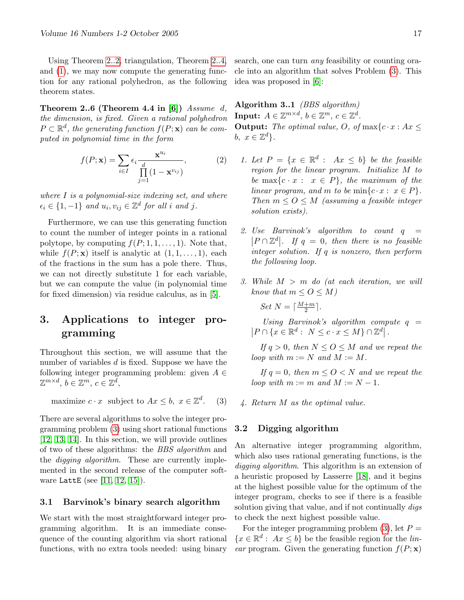Using Theorem [2..2,](#page-15-0) triangulation, Theorem [2..4,](#page-15-1) and [\(1\)](#page-7-4), we may now compute the generating function for any rational polyhedron, as the following theorem states.

<span id="page-16-0"></span>Theorem 2..6 (Theorem 4.4 in [\[6\]](#page-18-6))  $Assume$  d, the dimension, is fixed. Given a rational polyhedron  $P \subset \mathbb{R}^d$ , the generating function  $f(P; \mathbf{x})$  can be computed in polynomial time in the form

$$
f(P; \mathbf{x}) = \sum_{i \in I} \epsilon_i \frac{\mathbf{x}^{u_i}}{\prod_{j=1}^d (1 - \mathbf{x}^{v_{ij}})},
$$
(2)

where I is a polynomial-size indexing set, and where  $\epsilon_i \in \{1, -1\}$  and  $u_i, v_{ij} \in \mathbb{Z}^d$  for all i and j.

Furthermore, we can use this generating function to count the number of integer points in a rational polytope, by computing  $f(P; 1, 1, \ldots, 1)$ . Note that, while  $f(P; \mathbf{x})$  itself is analytic at  $(1, 1, \ldots, 1)$ , each of the fractions in the sum has a pole there. Thus, we can not directly substitute 1 for each variable, but we can compute the value (in polynomial time for fixed dimension) via residue calculus, as in [\[5\]](#page-18-5).

# 3. Applications to integer programming

Throughout this section, we will assume that the number of variables  $d$  is fixed. Suppose we have the following integer programming problem: given  $A \in$  $\mathbb{Z}^{m \times d}, b \in \mathbb{Z}^m, c \in \mathbb{Z}^d,$ 

maximize 
$$
c \cdot x
$$
 subject to  $Ax \leq b$ ,  $x \in \mathbb{Z}^d$ . (3)

There are several algorithms to solve the integer programming problem [\(3\)](#page-7-1) using short rational functions [\[12,](#page-18-12) [13,](#page-18-13) [14\]](#page-18-14). In this section, we will provide outlines of two of these algorithms: the BBS algorithm and the *digging algorithm*. These are currently implemented in the second release of the computer software LattE (see [\[11,](#page-18-15) [12,](#page-18-12) [15\]](#page-18-16)).

#### 3.1 Barvinok's binary search algorithm

We start with the most straightforward integer programming algorithm. It is an immediate consequence of the counting algorithm via short rational functions, with no extra tools needed: using binary search, one can turn any feasibility or counting oracle into an algorithm that solves Problem [\(3\)](#page-7-1). This idea was proposed in [\[6\]](#page-18-6):

Algorithm 3..1 (BBS algorithm) Input:  $A \in \mathbb{Z}^{m \times d}$ ,  $b \in \mathbb{Z}^m$ ,  $c \in \mathbb{Z}^d$ . **Output:** The optimal value, O, of  $\max\{c \cdot x : Ax \leq c\}$ b,  $x \in \mathbb{Z}^d$ .

- 1. Let  $P = \{x \in \mathbb{R}^d : Ax \leq b\}$  be the feasible region for the linear program. Initialize M to be max $\{c \cdot x : x \in P\}$ , the maximum of the linear program, and m to be  $\min\{c \cdot x : x \in P\}.$ Then  $m \leq O \leq M$  (assuming a feasible integer solution exists).
- 2. Use Barvinok's algorithm to count  $q =$  $|P \cap \mathbb{Z}^d|$ . If  $q = 0$ , then there is no feasible integer solution. If q is nonzero, then perform the following loop.
- 3. While  $M > m$  do (at each iteration, we will know that  $m \leq O \leq M$ )

$$
Set\ N = \lceil \frac{M+m}{2} \rceil.
$$

Using Barvinok's algorithm compute  $q =$  $|P \cap \{x \in \mathbb{R}^d : N \leq c \cdot x \leq M\} \cap \mathbb{Z}^d|$ .

If  $q > 0$ , then  $N \leq Q \leq M$  and we repeat the loop with  $m := N$  and  $M := M$ .

If  $q = 0$ , then  $m \leq O < N$  and we repeat the loop with  $m := m$  and  $M := N - 1$ .

4. Return M as the optimal value.

#### 3.2 Digging algorithm

An alternative integer programming algorithm, which also uses rational generating functions, is the digging algorithm. This algorithm is an extension of a heuristic proposed by Lasserre [\[18\]](#page-18-17), and it begins at the highest possible value for the optimum of the integer program, checks to see if there is a feasible solution giving that value, and if not continually *digs* to check the next highest possible value.

For the integer programming problem  $(3)$ , let  $P =$  ${x \in \mathbb{R}^d : Ax \leq b}$  be the feasible region for the *lin*ear program. Given the generating function  $f(P; \mathbf{x})$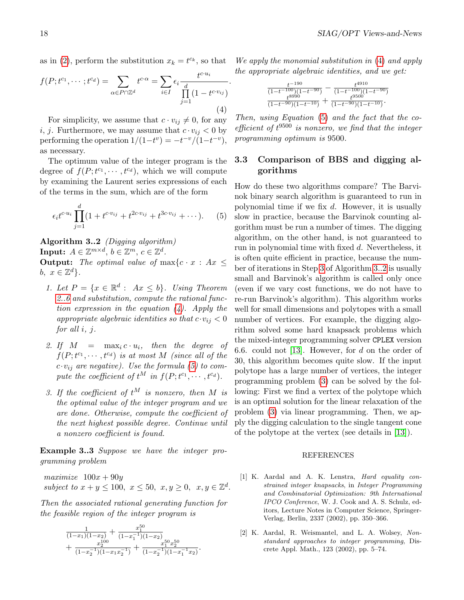as in [\(2\)](#page-7-0), perform the substitution  $x_k = t^{c_k}$ , so that

<span id="page-17-2"></span>
$$
f(P; t^{c_1}, \dots; t^{c_d}) = \sum_{\alpha \in P \cap \mathbb{Z}^d} t^{c \cdot \alpha} = \sum_{i \in I} \epsilon_i \frac{t^{c \cdot u_i}}{\prod_{j=1}^d (1 - t^{c \cdot v_{ij}})}.
$$
\n
$$
(4)
$$

For simplicity, we assume that  $c \cdot v_{ij} \neq 0$ , for any i, j. Furthermore, we may assume that  $c \cdot v_{ij} < 0$  by performing the operation  $1/(1-t^v) = -t^{-v}/(1-t^{-v}),$ as necessary.

The optimum value of the integer program is the degree of  $f(P; t^{c_1}, \dots, t^{c_d})$ , which we will compute by examining the Laurent series expressions of each of the terms in the sum, which are of the form

$$
\epsilon_i t^{c \cdot u_i} \prod_{j=1}^d (1 + t^{c \cdot v_{ij}} + t^{2c \cdot v_{ij}} + t^{3c \cdot v_{ij}} + \cdots). \tag{5}
$$

Algorithm 3..2 (Digging algorithm) Input:  $A \in \mathbb{Z}^{m \times d}$ ,  $b \in \mathbb{Z}^m$ ,  $c \in \mathbb{Z}^d$ .

**Output:** The optimal value of  $\max\{c \cdot x : Ax \leq c\}$ b,  $x \in \mathbb{Z}^d$ .

- 1. Let  $P = \{x \in \mathbb{R}^d : Ax \leq b\}$ . Using Theorem [2..6](#page-16-0) and substitution, compute the rational function expression in the equation  $(4)$ . Apply the appropriate algebraic identities so that  $c \cdot v_{ij} < 0$ for all i, j.
- 2. If  $M = \max_i c \cdot u_i$ , then the degree of  $f(P; t^{c_1}, \dots, t^{c_d})$  is at most M (since all of the  $c \cdot v_{ij}$  are negative). Use the formula [\(5\)](#page-7-2) to compute the coefficient of  $t^M$  in  $f(P; t^{c_1}, \dots, t^{c_d})$ .
- <span id="page-17-3"></span>3. If the coefficient of  $t^M$  is nonzero, then M is the optimal value of the integer program and we are done. Otherwise, compute the coefficient of the next highest possible degree. Continue until a nonzero coefficient is found.

Example 3..3 Suppose we have the integer programming problem

 $maximize$   $100x + 90y$ subject to  $x + y \le 100$ ,  $x \le 50$ ,  $x, y \ge 0$ ,  $x, y \in \mathbb{Z}^d$ .

Then the associated rational generating function for the feasible region of the integer program is

$$
\frac{1}{(1-x_1)(1-x_2)} + \frac{x_1^{50}}{(1-x_1^{-1})(1-x_2)} \n+ \frac{x_2^{100}}{(1-x_2^{-1})(1-x_1x_2^{-1})} + \frac{x_1^{50}x_2^{50}}{(1-x_2^{-1})(1-x_1^{-1}x_2)}
$$

.

We apply the monomial substitution in [\(4\)](#page-17-2) and apply the appropriate algebraic identities, and we get:

$$
\frac{t^{-190}}{(1-t^{-100})(1-t^{-90})}-\frac{t^{4910}}{(1-t^{-100})(1-t^{-90})}\newline\frac{t^{8990}}{(1-t^{-90})(1-t^{-10})}+\frac{t^{9500}}{(1-t^{-90})(1-t^{-10})}.
$$

Then, using Equation [\(5\)](#page-7-2) and the fact that the coefficient of  $t^{9500}$  is nonzero, we find that the integer programming optimum is 9500.

### 3.3 Comparison of BBS and digging algorithms

How do these two algorithms compare? The Barvinok binary search algorithm is guaranteed to run in polynomial time if we fix  $d$ . However, it is usually slow in practice, because the Barvinok counting algorithm must be run a number of times. The digging algorithm, on the other hand, is not guaranteed to run in polynomial time with fixed d. Nevertheless, it is often quite efficient in practice, because the number of iterations in Step [3](#page-17-3) of Algorithm [3..2](#page-10-2) is usually small and Barvinok's algorithm is called only once (even if we vary cost functions, we do not have to re-run Barvinok's algorithm). This algorithm works well for small dimensions and polytopes with a small number of vertices. For example, the digging algorithm solved some hard knapsack problems which the mixed-integer programming solver CPLEX version 6.6. could not [\[13\]](#page-18-13). However, for  $d$  on the order of 30, this algorithm becomes quite slow. If the input polytope has a large number of vertices, the integer programming problem [\(3\)](#page-7-1) can be solved by the following: First we find a vertex of the polytope which is an optimal solution for the linear relaxation of the problem [\(3\)](#page-7-1) via linear programming. Then, we apply the digging calculation to the single tangent cone of the polytope at the vertex (see details in [\[13\]](#page-18-13)).

#### REFERENCES

- <span id="page-17-0"></span>[1] K. Aardal and A. K. Lenstra, Hard equality constrained integer knapsacks, in Integer Programming and Combinatorial Optimization: 9th International IPCO Conference, W. J. Cook and A. S. Schulz, editors, Lecture Notes in Computer Science, Springer-Verlag, Berlin, 2337 (2002), pp. 350–366.
- <span id="page-17-1"></span>[2] K. Aardal, R. Weismantel, and L. A. Wolsey, Nonstandard approaches to integer programming, Discrete Appl. Math., 123 (2002), pp. 5–74.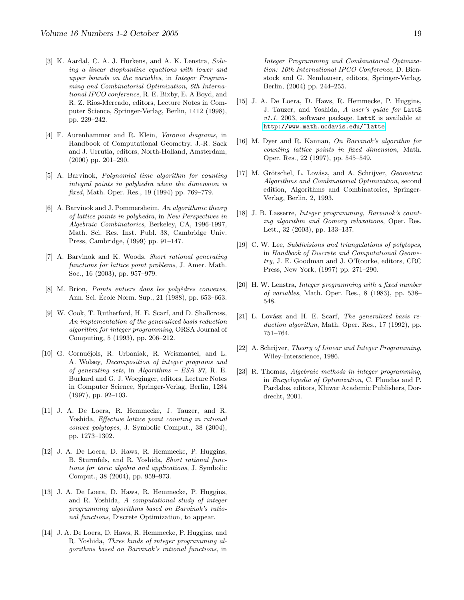- <span id="page-18-4"></span>[3] K. Aardal, C. A. J. Hurkens, and A. K. Lenstra, Solving a linear diophantine equations with lower and upper bounds on the variables, in Integer Programming and Combinatorial Optimization, 6th International IPCO conference, R. E. Bixby, E. A Boyd, and R. Z. Rios-Mercado, editors, Lecture Notes in Computer Science, Springer-Verlag, Berlin, 1412 (1998), pp. 229–242.
- <span id="page-18-10"></span>[4] F. Aurenhammer and R. Klein, Voronoi diagrams, in Handbook of Computational Geometry, J.-R. Sack and J. Urrutia, editors, North-Holland, Amsterdam, (2000) pp. 201–290.
- <span id="page-18-5"></span>[5] A. Barvinok, Polynomial time algorithm for counting integral points in polyhedra when the dimension is fixed, Math. Oper. Res., 19 (1994) pp. 769–779.
- <span id="page-18-6"></span>[6] A. Barvinok and J. Pommersheim, An algorithmic theory of lattice points in polyhedra, in New Perspectives in Algebraic Combinatorics, Berkeley, CA, 1996-1997, Math. Sci. Res. Inst. Publ. 38, Cambridge Univ. Press, Cambridge, (1999) pp. 91–147.
- [7] A. Barvinok and K. Woods, Short rational generating functions for lattice point problems, J. Amer. Math. Soc., 16 (2003), pp. 957–979.
- <span id="page-18-8"></span>[8] M. Brion, *Points entiers dans les polyèdres convexes*, Ann. Sci. Ecole Norm. Sup., 21 (1988), pp. 653–663. ´
- <span id="page-18-3"></span>[9] W. Cook, T. Rutherford, H. E. Scarf, and D. Shallcross, An implementation of the generalized basis reduction algorithm for integer programming, ORSA Journal of Computing, 5 (1993), pp. 206–212.
- [10] G. Cornuéjols, R. Urbaniak, R. Weismantel, and L. A. Wolsey, Decomposition of integer programs and of generating sets, in Algorithms – ESA 97, R. E. Burkard and G. J. Woeginger, editors, Lecture Notes in Computer Science, Springer-Verlag, Berlin, 1284 (1997), pp. 92–103.
- <span id="page-18-15"></span>[11] J. A. De Loera, R. Hemmecke, J. Tauzer, and R. Yoshida, Effective lattice point counting in rational convex polytopes, J. Symbolic Comput., 38 (2004), pp. 1273–1302.
- <span id="page-18-12"></span>[12] J. A. De Loera, D. Haws, R. Hemmecke, P. Huggins, B. Sturmfels, and R. Yoshida, Short rational functions for toric algebra and applications, J. Symbolic Comput., 38 (2004), pp. 959–973.
- <span id="page-18-13"></span>[13] J. A. De Loera, D. Haws, R. Hemmecke, P. Huggins, and R. Yoshida, A computational study of integer programming algorithms based on Barvinok's rational functions, Discrete Optimization, to appear.
- <span id="page-18-14"></span>[14] J. A. De Loera, D. Haws, R. Hemmecke, P. Huggins, and R. Yoshida, Three kinds of integer programming algorithms based on Barvinok's rational functions, in

Integer Programming and Combinatorial Optimization: 10th International IPCO Conference, D. Bienstock and G. Nemhauser, editors, Springer-Verlag, Berlin, (2004) pp. 244–255.

- <span id="page-18-16"></span>[15] J. A. De Loera, D. Haws, R. Hemmecke, P. Huggins, J. Tauzer, and Yoshida, A user's guide for LattE  $v1.1.$  2003, software package. LattE is available at <http://www.math.ucdavis.edu/~latte>.
- <span id="page-18-7"></span>[16] M. Dyer and R. Kannan, On Barvinok's algorithm for counting lattice points in fixed dimension, Math. Oper. Res., 22 (1997), pp. 545–549.
- <span id="page-18-0"></span>[17] M. Grötschel, L. Lovász, and A. Schrijver, Geometric Algorithms and Combinatorial Optimization, second edition, Algorithms and Combinatorics, Springer-Verlag, Berlin, 2, 1993.
- <span id="page-18-17"></span>[18] J. B. Lasserre, *Integer programming*, *Barvinok's count*ing algorithm and Gomory relaxations, Oper. Res. Lett., 32 (2003), pp. 133–137.
- <span id="page-18-11"></span>[19] C. W. Lee, Subdivisions and triangulations of polytopes, in Handbook of Discrete and Computational Geometry, J. E. Goodman and J. O'Rourke, editors, CRC Press, New York, (1997) pp. 271–290.
- <span id="page-18-1"></span>[20] H. W. Lenstra, Integer programming with a fixed number of variables, Math. Oper. Res., 8 (1983), pp. 538– 548.
- <span id="page-18-2"></span>[21] L. Lovász and H. E. Scarf, The generalized basis reduction algorithm, Math. Oper. Res., 17 (1992), pp. 751–764.
- <span id="page-18-9"></span>[22] A. Schrijver, Theory of Linear and Integer Programming, Wiley-Interscience, 1986.
- [23] R. Thomas, Algebraic methods in integer programming, in Encyclopedia of Optimization, C. Floudas and P. Pardalos, editors, Kluwer Academic Publishers, Dordrecht, 2001.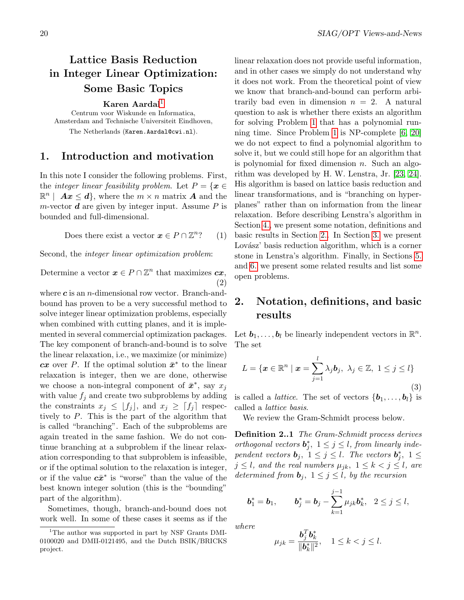# <span id="page-19-0"></span>Lattice Basis Reduction in Integer Linear Optimization: Some Basic Topics

Karen Aardal<sup>[1](#page-19-1)</sup>

Centrum voor Wiskunde en Informatica, Amsterdam and Technische Universiteit Eindhoven, The Netherlands (Karen.Aardal@cwi.nl).

### 1. Introduction and motivation

In this note I consider the following problems. First, the *integer linear feasibility problem*. Let  $P = \{x \in$  $\mathbb{R}^n$  |  $\boldsymbol{A}\boldsymbol{x} \leq \boldsymbol{d}$ , where the  $m \times n$  matrix  $\boldsymbol{A}$  and the m-vector  $\boldsymbol{d}$  are given by integer input. Assume  $P$  is bounded and full-dimensional.

> Does there exist a vector  $\boldsymbol{x} \in P \cap \mathbb{Z}^n$  $(1)$

Second, the integer linear optimization problem:

Determine a vector  $\boldsymbol{x} \in P \cap \mathbb{Z}^n$  that maximizes  $\boldsymbol{cx}$ , (2)

where  $c$  is an *n*-dimensional row vector. Branch-andbound has proven to be a very successful method to solve integer linear optimization problems, especially when combined with cutting planes, and it is implemented in several commercial optimization packages. The key component of branch-and-bound is to solve the linear relaxation, i.e., we maximize (or minimize) cx over P. If the optimal solution  $\bar{x}^*$  to the linear relaxation is integer, then we are done, otherwise we choose a non-integral component of  $\bar{x}^*$ , say  $x_j$ with value  $f_i$  and create two subproblems by adding the constraints  $x_j \leq \lfloor f_j \rfloor$ , and  $x_j \geq \lceil f_j \rceil$  respectively to P. This is the part of the algorithm that is called "branching". Each of the subproblems are again treated in the same fashion. We do not continue branching at a subproblem if the linear relaxation corresponding to that subproblem is infeasible, or if the optimal solution to the relaxation is integer, or if the value  $c\bar{x}^*$  is "worse" than the value of the best known integer solution (this is the "bounding" part of the algorithm).

Sometimes, though, branch-and-bound does not work well. In some of these cases it seems as if the

linear relaxation does not provide useful information, and in other cases we simply do not understand why it does not work. From the theoretical point of view we know that branch-and-bound can perform arbitrarily bad even in dimension  $n = 2$ . A natural question to ask is whether there exists an algorithm for solving Problem [1](#page-7-4) that has a polynomial running time. Since Problem [1](#page-7-4) is NP-complete [\[6,](#page-25-0) [20\]](#page-25-1) we do not expect to find a polynomial algorithm to solve it, but we could still hope for an algorithm that is polynomial for fixed dimension  $n$ . Such an algorithm was developed by H. W. Lenstra, Jr. [\[23,](#page-25-2) [24\]](#page-25-3). His algorithm is based on lattice basis reduction and linear transformations, and is "branching on hyperplanes" rather than on information from the linear relaxation. Before describing Lenstra's algorithm in Section [4.,](#page-22-0) we present some notation, definitions and basic results in Section [2..](#page-6-2) In Section [3.](#page-8-2) we present Lovász' basis reduction algorithm, which is a corner stone in Lenstra's algorithm. Finally, in Sections [5.](#page-23-0) and [6.](#page-24-0) we present some related results and list some open problems.

# 2. Notation, definitions, and basic results

Let  $b_1, \ldots, b_l$  be linearly independent vectors in  $\mathbb{R}^n$ . The set

$$
L = \{ \boldsymbol{x} \in \mathbb{R}^n \mid \boldsymbol{x} = \sum_{j=1}^l \lambda_j \boldsymbol{b}_j, \ \lambda_j \in \mathbb{Z}, \ 1 \le j \le l \}
$$
\n(3)

is called a *lattice*. The set of vectors  $\{b_1, \ldots, b_l\}$  is called a lattice basis.

We review the Gram-Schmidt process below.

Definition 2..1 The Gram-Schmidt process derives orthogonal vectors  $\mathbf{b}_j^*$ ,  $1 \leq j \leq l$ , from linearly independent vectors  $\mathbf{b}_j$ ,  $1 \leq j \leq l$ . The vectors  $\mathbf{b}_j^*$ ,  $1 \leq$  $j \leq l$ , and the real numbers  $\mu_{jk}$ ,  $1 \leq k < j \leq l$ , are determined from  $\mathbf{b}_i$ ,  $1 \leq j \leq l$ , by the recursion

$$
b_1^* = b_1, \qquad b_j^* = b_j - \sum_{k=1}^{j-1} \mu_{jk} b_k^*, \quad 2 \leq j \leq l,
$$

where

b

$$
\mu_{jk} = \frac{\mathbf{b}_j^T \mathbf{b}_k^*}{\|\mathbf{b}_k^*\|^2}, \quad 1 \le k < j \le l.
$$

<span id="page-19-1"></span><sup>&</sup>lt;sup>1</sup>The author was supported in part by NSF Grants DMI-0100020 and DMII-0121495, and the Dutch BSIK/BRICKS project.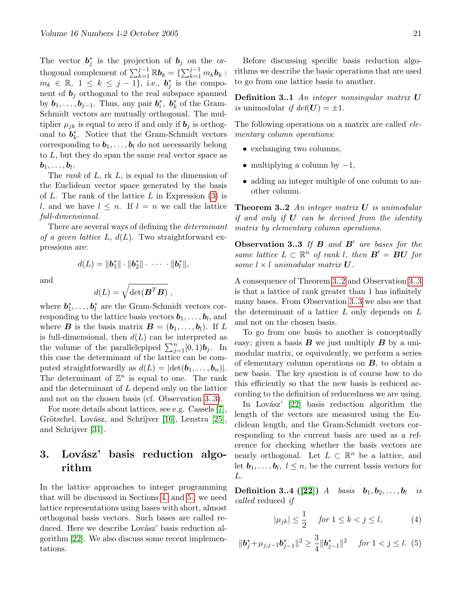The vector  $\mathbf{b}_j^*$  is the projection of  $\mathbf{b}_j$  on the orthogonal complement of  $\sum_{k=1}^{j-1} \mathbb{R} \mathbf{b}_k = \{ \sum_{k=1}^{j-1} m_k \mathbf{b}_k : \}$  $m_k \in \mathbb{R}, 1 \leq k \leq j-1$ , i.e.,  $\mathbf{b}_j^*$  is the component of  $\mathbf{b}_j$  orthogonal to the real subspace spanned by  $b_1, \ldots, b_{j-1}$ . Thus, any pair  $b_i^*$ ,  $b_k^*$  of the Gram-Schmidt vectors are mutually orthogonal. The multiplier  $\mu_{jk}$  is equal to zero if and only if  $\mathbf{b}_j$  is orthogonal to  $\boldsymbol{b}_k^*$ . Notice that the Gram-Schmidt vectors corresponding to  $b_1, \ldots, b_l$  do not necessarily belong to  $L$ , but they do span the same real vector space as  $\bm{b}_1, \dots, \bm{b}_l.$ 

The *rank* of L, rk L, is equal to the dimension of the Euclidean vector space generated by the basis of  $L$ . The rank of the lattice  $L$  in Expression  $(3)$  is l, and we have  $l \leq n$ . If  $l = n$  we call the lattice full-dimensional.

There are several ways of defining the determinant of a given lattice L,  $d(L)$ . Two straightforward expressions are:

 $d(L) = ||\boldsymbol{b}_1^*|| \cdot ||\boldsymbol{b}_2^*|| \cdot \cdots \cdot ||\boldsymbol{b}_l^*||,$ 

and

$$
d(L) = \sqrt{\det(\boldsymbol{B}^T \boldsymbol{B})} ,
$$

where  $b_1^*, \ldots, b_l^*$  are the Gram-Schmidt vectors corresponding to the lattice basis vectors  $\boldsymbol{b}_1,\ldots,\boldsymbol{b}_l,$  and where **B** is the basis matrix  $\mathbf{B} = (\mathbf{b}_1, \dots, \mathbf{b}_l)$ . If L is full-dimensional, then  $d(L)$  can be interpreted as the volume of the parallelepiped  $\sum_{j=1}^{n} [0, 1)$ **b**<sub>j</sub>. In this case the determinant of the lattice can be computed straightforwardly as  $d(L) = |\det(\boldsymbol{b}_1, \dots, \boldsymbol{b}_n)|$ . The determinant of  $\mathbb{Z}^n$  is equal to one. The rank and the determinant of L depend only on the lattice and not on the chosen basis (cf. Observation [3..3\)](#page-10-0).

For more details about lattices, see e.g. Cassels [\[7\]](#page-25-4), Grötschel, Lovász, and Schrijver [\[16\]](#page-25-5), Lenstra [\[25\]](#page-25-6), and Schrijver [\[31\]](#page-26-1).

# 3. Lovász' basis reduction algorithm

In the lattice approaches to integer programming that will be discussed in Sections [4.](#page-22-0) and [5.,](#page-23-0) we need lattice representations using bases with short, almost orthogonal basis vectors. Such bases are called reduced. Here we describe Lovász' basis reduction algorithm [\[22\]](#page-25-7). We also discuss some recent implementations.

Before discussing specific basis reduction algorithms we describe the basic operations that are used to go from one lattice basis to another.

**Definition 3..1** An integer nonsingular matrix  $U$ is unimodular if  $det(U) = \pm 1$ .

The following operations on a matrix are called *ele*mentary column operations:

- exchanging two columns,
- multiplying a column by  $-1$ ,
- adding an integer multiple of one column to another column.

**Theorem 3..2** An integer matrix  $U$  is unimodular if and only if  $U$  can be derived from the identity matrix by elementary column operations.

Observation 3..3 If  $B$  and  $B'$  are bases for the same lattice  $L \subset \mathbb{R}^n$  of rank l, then  $B' = BU$  for some  $l \times l$  unimodular matrix  $U$ .

A consequence of Theorem [3..2](#page-10-2) and Observation [3..3](#page-10-0) is that a lattice of rank greater than 1 has infinitely many bases. From Observation [3..3](#page-10-0) we also see that the determinant of a lattice  $L$  only depends on  $L$ and not on the chosen basis.

To go from one basis to another is conceptually easy; given a basis  $\bm{B}$  we just multiply  $\bm{B}$  by a unimodular matrix, or equivalently, we perform a series of elementary column operations on  $B$ , to obtain a new basis. The key question is of course how to do this efficiently so that the new basis is reduced according to the definition of reducedness we are using.

In Lovász'  $[22]$  basis reduction algorithm the length of the vectors are measured using the Euclidean length, and the Gram-Schmidt vectors corresponding to the current basis are used as a reference for checking whether the basis vectors are nearly orthogonal. Let  $L \subset \mathbb{R}^n$  be a lattice, and let  $\mathbf{b}_1, \ldots, \mathbf{b}_l, l \leq n$ , be the current basis vectors for L.

 $\textbf{Definition 3..4} \ \big( [ \textbf{22} ] \big) \ \ A \quad basis \quad \boldsymbol{b}_1, \boldsymbol{b}_2, \dots, \boldsymbol{b}_l \quad is$ called reduced if

$$
|\mu_{jk}| \le \frac{1}{2} \quad \text{for } 1 \le k < j \le l,\tag{4}
$$

$$
\|\mathbf{b}_{j}^{*}+\mu_{j,j-1}\mathbf{b}_{j-1}^{*}\|^{2} \geq \frac{3}{4}\|\mathbf{b}_{j-1}^{*}\|^{2} \quad \text{for } 1 < j \leq l. \tag{5}
$$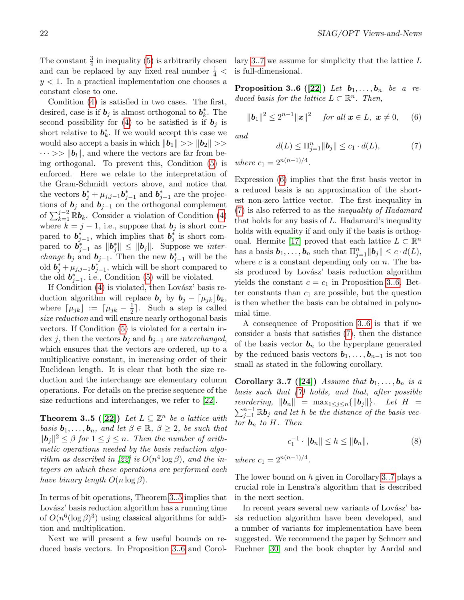The constant  $\frac{3}{4}$  in inequality [\(5\)](#page-7-2) is arbitrarily chosen and can be replaced by any fixed real number  $\frac{1}{4}$  <  $y < 1$ . In a practical implementation one chooses a constant close to one.

Condition [\(4\)](#page-17-2) is satisfied in two cases. The first, desired, case is if  $\mathbf{b}_j$  is almost orthogonal to  $\mathbf{b}_k^*$ . The second possibility for [\(4\)](#page-17-2) to be satisfied is if  $\mathbf{b}_i$  is short relative to  $b_k^*$ . If we would accept this case we would also accept a basis in which  $||\boldsymbol{b}_1|| \gg ||\boldsymbol{b}_2|| \gg$  $\cdots >> ||b_l||$ , and where the vectors are far from being orthogonal. To prevent this, Condition [\(5\)](#page-7-2) is enforced. Here we relate to the interpretation of the Gram-Schmidt vectors above, and notice that the vectors  $\mathbf{b}_{j}^{*} + \mu_{j,j-1} \mathbf{b}_{j-1}^{*}$  and  $\mathbf{b}_{j-1}^{*}$  are the projections of  $\mathbf{b}_j$  and  $\mathbf{b}_{j-1}$  on the orthogonal complement of  $\sum_{k=1}^{j-2} \mathbb{R} \mathbf{b}_k$ . Consider a violation of Condition [\(4\)](#page-17-2) where  $k = j - 1$ , i.e., suppose that  $\mathbf{b}_j$  is short compared to  $b_{j-1}^*$ , which implies that  $b_j^*$  is short compared to  $\boldsymbol{b}_{j-1}^*$  as  $\|\boldsymbol{b}_j^*\| \leq \|\boldsymbol{b}_j\|$ . Suppose we *interchange*  $\mathbf{b}_j$  and  $\mathbf{b}_{j-1}$ . Then the new  $\mathbf{b}_{j-1}^*$  will be the old  $\boldsymbol{b}_j^* + \mu_{j,j-1} \boldsymbol{b}_{j-1}^*$ , which will be short compared to the old  $b_{j-1}^*$ , i.e., Condition [\(5\)](#page-7-2) will be violated.

If Condition  $(4)$  is violated, then Lovász' basis reduction algorithm will replace  $\mathbf{b}_j$  by  $\mathbf{b}_j - \lceil \mu_{jk} \rceil \mathbf{b}_k$ , where  $\lceil \mu_{jk} \rceil := \lceil \mu_{jk} - \frac{1}{2} \rceil$  $\frac{1}{2}$ . Such a step is called size reduction and will ensure nearly orthogonal basis vectors. If Condition [\(5\)](#page-7-2) is violated for a certain index j, then the vectors  $\mathbf{b}_i$  and  $\mathbf{b}_{i-1}$  are *interchanged*, which ensures that the vectors are ordered, up to a multiplicative constant, in increasing order of their Euclidean length. It is clear that both the size reduction and the interchange are elementary column operations. For details on the precise sequence of the size reductions and interchanges, we refer to [\[22\]](#page-25-7).

**Theorem 3..5** ([\[22\]](#page-25-7)) Let  $L \subseteq \mathbb{Z}^n$  be a lattice with basis  $\mathbf{b}_1, \ldots, \mathbf{b}_n$ , and let  $\beta \in \mathbb{R}, \ \beta \geq 2$ , be such that  $||\boldsymbol{b}_j||^2 \leq \beta$  for  $1 \leq j \leq n$ . Then the number of arithmetic operations needed by the basis reduction algo-rithm as described in [\[22\]](#page-25-7) is  $O(n^4 \log \beta)$ , and the integers on which these operations are performed each have binary length  $O(n \log \beta)$ .

In terms of bit operations, Theorem [3..5](#page-12-0) implies that Lovász' basis reduction algorithm has a running time of  $O(n^6(\log \beta)^3)$  using classical algorithms for addition and multiplication.

Next we will present a few useful bounds on reduced basis vectors. In Proposition [3..6](#page-21-0) and Corol<span id="page-21-0"></span>lary [3..7](#page-21-1) we assume for simplicity that the lattice L is full-dimensional.

**Proposition 3..6** ([\[22\]](#page-25-7)) Let  $b_1, \ldots, b_n$  be a reduced basis for the lattice  $L \subset \mathbb{R}^n$ . Then,

$$
\|\bm{b}_1\|^2 \le 2^{n-1} \|\bm{x}\|^2 \quad \text{ for all } \bm{x} \in L, \ \bm{x} \ne 0,
$$
 (6)

and

$$
d(L) \le \Pi_{j=1}^n \|b_j\| \le c_1 \cdot d(L), \tag{7}
$$

where  $c_1 = 2^{n(n-1)/4}$ .

Expression [\(6\)](#page-7-5) implies that the first basis vector in a reduced basis is an approximation of the shortest non-zero lattice vector. The first inequality in [\(7\)](#page-7-3) is also referred to as the inequality of Hadamard that holds for any basis of  $L$ . Hadamard's inequality holds with equality if and only if the basis is orthog-onal. Hermite [\[17\]](#page-25-8) proved that each lattice  $L \subset \mathbb{R}^n$ has a basis  $\mathbf{b}_1, \ldots, \mathbf{b}_n$  such that  $\Pi_{j=1}^n \|\mathbf{b}_j\| \leq c \cdot d(L)$ , where  $c$  is a constant depending only on  $n$ . The basis produced by Lovász' basis reduction algorithm yields the constant  $c = c_1$  in Proposition [3..6.](#page-21-0) Better constants than  $c_1$  are possible, but the question is then whether the basis can be obtained in polynomial time.

A consequence of Proposition [3..6](#page-21-0) is that if we consider a basis that satisfies [\(7\)](#page-7-3), then the distance of the basis vector  $\mathbf{b}_n$  to the hyperplane generated by the reduced basis vectors  $b_1, \ldots, b_{n-1}$  is not too small as stated in the following corollary.

Corollary 3..7 ([\[24\]](#page-25-3)) Assume that  $b_1, \ldots, b_n$  is a basis such that  $(7)$  holds, and that, after possible  $\sum_{j=1}^{n-1} \mathbb{R} \boldsymbol{b}_j$  and let h be the distance of the basis vecreordering,  $\|\mathbf{b}_n\| = \max_{1 \leq j \leq n} {\{\|\mathbf{b}_j\|\}}$ . Let  $H =$ tor  $\mathbf{b}_n$  to H. Then

<span id="page-21-1"></span>
$$
c_1^{-1} \cdot ||\bm{b}_n|| \leq h \leq ||\bm{b}_n||,\tag{8}
$$

where  $c_1 = 2^{n(n-1)/4}$ .

The lower bound on h given in Corollary [3..7](#page-21-1) plays a crucial role in Lenstra's algorithm that is described in the next section.

In recent years several new variants of Lovász' basis reduction algorithm have been developed, and a number of variants for implementation have been suggested. We recommend the paper by Schnorr and Euchner [\[30\]](#page-26-2) and the book chapter by Aardal and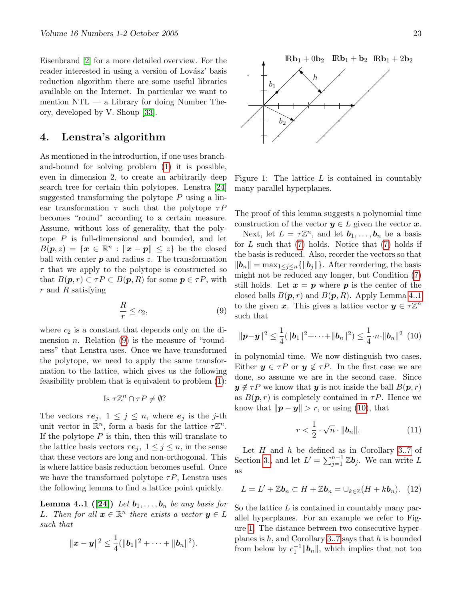Eisenbrand [\[2\]](#page-25-9) for a more detailed overview. For the reader interested in using a version of Lovász' basis reduction algorithm there are some useful libraries available on the Internet. In particular we want to mention NTL — a Library for doing Number Theory, developed by V. Shoup [\[33\]](#page-26-3).

## <span id="page-22-0"></span>4. Lenstra's algorithm

As mentioned in the introduction, if one uses branchand-bound for solving problem [\(1\)](#page-7-4) it is possible, even in dimension 2, to create an arbitrarily deep search tree for certain thin polytopes. Lenstra [\[24\]](#page-25-3) suggested transforming the polytope  $P$  using a linear transformation  $\tau$  such that the polytope  $\tau P$ becomes "round" according to a certain measure. Assume, without loss of generality, that the polytope  $P$  is full-dimensional and bounded, and let  $B(\mathbf{p},z) = \{\mathbf{x} \in \mathbb{R}^n : ||\mathbf{x} - \mathbf{p}|| \leq z\}$  be the closed ball with center  $p$  and radius  $z$ . The transformation  $\tau$  that we apply to the polytope is constructed so that  $B(\mathbf{p}, r) \subset \tau P \subset B(\mathbf{p}, R)$  for some  $\mathbf{p} \in \tau P$ , with r and R satisfying

$$
\frac{R}{r} \le c_2,\tag{9}
$$

where  $c_2$  is a constant that depends only on the dimension *n*. Relation  $(9)$  is the measure of "roundness" that Lenstra uses. Once we have transformed the polytope, we need to apply the same transformation to the lattice, which gives us the following feasibility problem that is equivalent to problem [\(1\)](#page-7-4):

Is 
$$
\tau \mathbb{Z}^n \cap \tau P \neq \emptyset
$$
?

The vectors  $\tau e_j$ ,  $1 \leq j \leq n$ , where  $e_j$  is the j-th unit vector in  $\mathbb{R}^n$ , form a basis for the lattice  $\tau \mathbb{Z}^n$ . If the polytope  $P$  is thin, then this will translate to the lattice basis vectors  $\tau e_i$ ,  $1 \leq j \leq n$ , in the sense that these vectors are long and non-orthogonal. This is where lattice basis reduction becomes useful. Once we have the transformed polytope  $\tau P$ , Lenstra uses the following lemma to find a lattice point quickly.

**Lemma 4..1** ([\[24\]](#page-25-3)) Let  $b_1, \ldots, b_n$  be any basis for L. Then for all  $x \in \mathbb{R}^n$  there exists a vector  $y \in L$ such that

$$
\|\boldsymbol{x}-\boldsymbol{y}\|^2 \leq \frac{1}{4}(\|\boldsymbol{b}_1\|^2 + \cdots + \|\boldsymbol{b}_n\|^2).
$$



<span id="page-22-2"></span>Figure 1: The lattice  $L$  is contained in countably many parallel hyperplanes.

The proof of this lemma suggests a polynomial time construction of the vector  $y \in L$  given the vector x.

Next, let  $L = \tau \mathbb{Z}^n$ , and let  $\mathbf{b}_1, \ldots, \mathbf{b}_n$  be a basis for  $L$  such that  $(7)$  holds. Notice that  $(7)$  holds if the basis is reduced. Also, reorder the vectors so that  $||\boldsymbol{b}_n|| = \max_{1 \leq j \leq n} \{||\boldsymbol{b}_j||\}$ . After reordering, the basis might not be reduced any longer, but Condition [\(7\)](#page-7-3) still holds. Let  $x = p$  where p is the center of the closed balls  $B(p, r)$  and  $B(p, R)$ . Apply Lemma [4..1](#page-22-1) to the given x. This gives a lattice vector  $y \in \tau \mathbb{Z}^n$ such that

$$
\|\boldsymbol{p}-\boldsymbol{y}\|^2 \leq \frac{1}{4}(\|\boldsymbol{b}_1\|^2 + \cdots + \|\boldsymbol{b}_n\|^2) \leq \frac{1}{4} \cdot n \cdot \|\boldsymbol{b}_n\|^2 \tag{10}
$$

in polynomial time. We now distinguish two cases. Either  $y \in \tau P$  or  $y \notin \tau P$ . In the first case we are done, so assume we are in the second case. Since  $y \notin \tau P$  we know that y is not inside the ball  $B(p, r)$ as  $B(\mathbf{p}, r)$  is completely contained in  $\tau P$ . Hence we know that  $\|\boldsymbol{p} - \boldsymbol{y}\| > r$ , or using [\(10\)](#page-9-0), that

<span id="page-22-3"></span>
$$
r < \frac{1}{2} \cdot \sqrt{n} \cdot \|\mathbf{b}_n\|.\tag{11}
$$

Let  $H$  and  $h$  be defined as in Corollary [3..7](#page-21-1) of Section [3.,](#page-8-2) and let  $L' = \sum_{j=1}^{n-1} \mathbb{Z} \mathbf{b}_j$ . We can write  $L$ as

<span id="page-22-4"></span><span id="page-22-1"></span>
$$
L = L' + \mathbb{Z}\mathbf{b}_n \subset H + \mathbb{Z}\mathbf{b}_n = \cup_{k \in \mathbb{Z}} (H + k\mathbf{b}_n).
$$
 (12)

So the lattice  $L$  is contained in countably many parallel hyperplanes. For an example we refer to Figure [1.](#page-22-2) The distance between two consecutive hyperplanes is  $h$ , and Corollary [3..7](#page-21-1) says that  $h$  is bounded from below by  $c_1^{-1} ||\boldsymbol{b}_n||$ , which implies that not too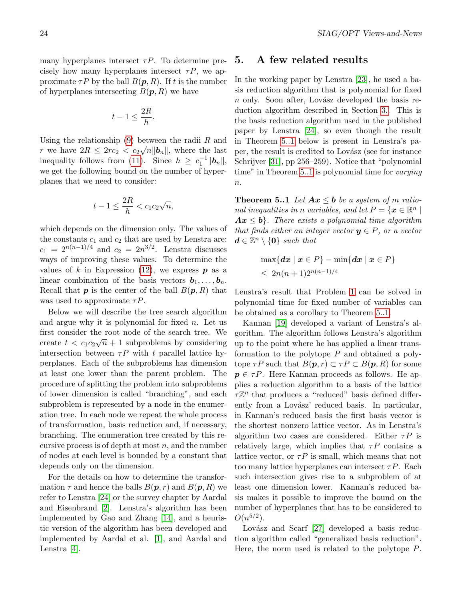many hyperplanes intersect  $\tau P$ . To determine precisely how many hyperplanes intersect  $\tau P$ , we approximate  $\tau P$  by the ball  $B(\mathbf{p}, R)$ . If t is the number of hyperplanes intersecting  $B(\mathbf{p}, R)$  we have

$$
t-1\leq \frac{2R}{h}.
$$

Using the relationship [\(9\)](#page-8-0) between the radii R and r we have  $2R \leq 2rc_2 < c_2\sqrt{n} \|\mathbf{b}_n\|$ , where the last inequality follows from [\(11\)](#page-22-3). Since  $h \geq c_1^{-1} ||b_n||$ , we get the following bound on the number of hyperplanes that we need to consider:

$$
t-1 \le \frac{2R}{h} < c_1 c_2 \sqrt{n},
$$

which depends on the dimension only. The values of the constants  $c_1$  and  $c_2$  that are used by Lenstra are:  $c_1 = 2^{n(n-1)/4}$  and  $c_2 = 2n^{3/2}$ . Lenstra discusses ways of improving these values. To determine the values of k in Expression [\(12\)](#page-22-4), we express  $p$  as a linear combination of the basis vectors  $b_1, \ldots, b_n$ . Recall that  $p$  is the center of the ball  $B(p, R)$  that was used to approximate  $\tau P$ .

Below we will describe the tree search algorithm and argue why it is polynomial for fixed  $n$ . Let us first consider the root node of the search tree. We create  $t < c_1 c_2 \sqrt{n} + 1$  subproblems by considering intersection between  $\tau P$  with t parallel lattice hyperplanes. Each of the subproblems has dimension at least one lower than the parent problem. The procedure of splitting the problem into subproblems of lower dimension is called "branching", and each subproblem is represented by a node in the enumeration tree. In each node we repeat the whole process of transformation, basis reduction and, if necessary, branching. The enumeration tree created by this recursive process is of depth at most  $n$ , and the number of nodes at each level is bounded by a constant that depends only on the dimension.

For the details on how to determine the transformation  $\tau$  and hence the balls  $B(\mathbf{p}, r)$  and  $B(\mathbf{p}, R)$  we refer to Lenstra [\[24\]](#page-25-3) or the survey chapter by Aardal and Eisenbrand [\[2\]](#page-25-9). Lenstra's algorithm has been implemented by Gao and Zhang [\[14\]](#page-25-10), and a heuristic version of the algorithm has been developed and implemented by Aardal et al. [\[1\]](#page-24-1), and Aardal and Lenstra [\[4\]](#page-25-11).

### <span id="page-23-0"></span>5. A few related results

In the working paper by Lenstra [\[23\]](#page-25-2), he used a basis reduction algorithm that is polynomial for fixed  $n$  only. Soon after, Lovász developed the basis reduction algorithm described in Section [3..](#page-8-2) This is the basis reduction algorithm used in the published paper by Lenstra [\[24\]](#page-25-3), so even though the result in Theorem [5..1](#page-23-1) below is present in Lenstra's paper, the result is credited to Lovász (see for instance Schrijver [\[31\]](#page-26-1), pp 256–259). Notice that "polynomial time" in Theorem [5..1](#page-23-1) is polynomial time for *varying*  $\overline{n}$ .

<span id="page-23-1"></span>**Theorem 5..1** Let  $Ax \leq b$  be a system of m rational inequalities in n variables, and let  $P = \{ \boldsymbol{x} \in \mathbb{R}^n \mid \boldsymbol{x} \in \mathbb{R}^n \}$  $Ax \leq b$ . There exists a polynomial time algorithm that finds either an integer vector  $y \in P$ , or a vector  $d \in \mathbb{Z}^n \setminus \{0\}$  such that

$$
\begin{aligned} &\max\{\boldsymbol{dx}\mid\boldsymbol{x}\in P\}-\min\{\boldsymbol{dx}\mid\boldsymbol{x}\in P\} \\ &\leq~2n(n+1)2^{n(n-1)/4} \end{aligned}
$$

Lenstra's result that Problem [1](#page-7-4) can be solved in polynomial time for fixed number of variables can be obtained as a corollary to Theorem [5..1.](#page-23-1)

Kannan [\[19\]](#page-25-12) developed a variant of Lenstra's algorithm. The algorithm follows Lenstra's algorithm up to the point where he has applied a linear transformation to the polytope  $P$  and obtained a polytope  $\tau P$  such that  $B(\mathbf{p}, r) \subset \tau P \subset B(\mathbf{p}, R)$  for some  $p \in \tau P$ . Here Kannan proceeds as follows. He applies a reduction algorithm to a basis of the lattice  $\tau\mathbb{Z}^n$  that produces a "reduced" basis defined differently from a Lovász' reduced basis. In particular, in Kannan's reduced basis the first basis vector is the shortest nonzero lattice vector. As in Lenstra's algorithm two cases are considered. Either  $\tau P$  is relatively large, which implies that  $\tau P$  contains a lattice vector, or  $\tau P$  is small, which means that not too many lattice hyperplanes can intersect  $\tau P$ . Each such intersection gives rise to a subproblem of at least one dimension lower. Kannan's reduced basis makes it possible to improve the bound on the number of hyperplanes that has to be considered to  $O(n^{5/2})$ .

Lovász and Scarf  $[27]$  developed a basis reduction algorithm called "generalized basis reduction". Here, the norm used is related to the polytope P.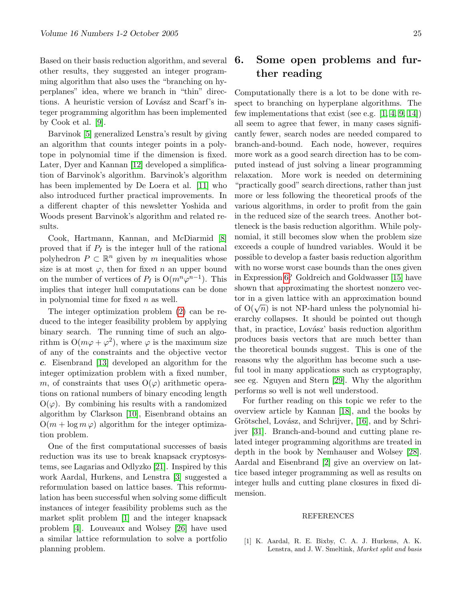Based on their basis reduction algorithm, and several other results, they suggested an integer programming algorithm that also uses the "branching on hyperplanes" idea, where we branch in "thin" directions. A heuristic version of Lovász and Scarf's integer programming algorithm has been implemented by Cook et al. [\[9\]](#page-25-14).

Barvinok [\[5\]](#page-25-15) generalized Lenstra's result by giving an algorithm that counts integer points in a polytope in polynomial time if the dimension is fixed. Later, Dyer and Kannan [\[12\]](#page-25-16) developed a simplification of Barvinok's algorithm. Barvinok's algorithm has been implemented by De Loera et al. [\[11\]](#page-25-17) who also introduced further practical improvements. In a different chapter of this newsletter Yoshida and Woods present Barvinok's algorithm and related results.

Cook, Hartmann, Kannan, and McDiarmid [\[8\]](#page-25-18) proved that if  $P_I$  is the integer hull of the rational polyhedron  $P \subset \mathbb{R}^n$  given by m inequalities whose size is at most  $\varphi$ , then for fixed n an upper bound on the number of vertices of  $P_I$  is  $O(m^n \varphi^{n-1})$ . This implies that integer hull computations can be done in polynomial time for fixed  $n$  as well.

The integer optimization problem [\(2\)](#page-7-0) can be reduced to the integer feasibility problem by applying binary search. The running time of such an algorithm is  $O(m\varphi + \varphi^2)$ , where  $\varphi$  is the maximum size of any of the constraints and the objective vector c. Eisenbrand [\[13\]](#page-25-19) developed an algorithm for the integer optimization problem with a fixed number, m, of constraints that uses  $O(\varphi)$  arithmetic operations on rational numbers of binary encoding length  $O(\varphi)$ . By combining his results with a randomized algorithm by Clarkson [\[10\]](#page-25-20), Eisenbrand obtains an  $O(m + \log m \varphi)$  algorithm for the integer optimization problem.

One of the first computational successes of basis reduction was its use to break knapsack cryptosystems, see Lagarias and Odlyzko [\[21\]](#page-25-21). Inspired by this work Aardal, Hurkens, and Lenstra [\[3\]](#page-25-22) suggested a reformulation based on lattice bases. This reformulation has been successful when solving some difficult instances of integer feasibility problems such as the market split problem [\[1\]](#page-24-1) and the integer knapsack problem [\[4\]](#page-25-11). Louveaux and Wolsey [\[26\]](#page-25-23) have used a similar lattice reformulation to solve a portfolio planning problem.

# <span id="page-24-0"></span>6. Some open problems and further reading

Computationally there is a lot to be done with respect to branching on hyperplane algorithms. The few implementations that exist (see e.g.  $[1, 4, 9, 14]$  $[1, 4, 9, 14]$  $[1, 4, 9, 14]$  $[1, 4, 9, 14]$ ) all seem to agree that fewer, in many cases significantly fewer, search nodes are needed compared to branch-and-bound. Each node, however, requires more work as a good search direction has to be computed instead of just solving a linear programming relaxation. More work is needed on determining "practically good" search directions, rather than just more or less following the theoretical proofs of the various algorithms, in order to profit from the gain in the reduced size of the search trees. Another bottleneck is the basis reduction algorithm. While polynomial, it still becomes slow when the problem size exceeds a couple of hundred variables. Would it be possible to develop a faster basis reduction algorithm with no worse worst case bounds than the ones given in Expression [6?](#page-7-5) Goldreich and Goldwasser [\[15\]](#page-25-24) have shown that approximating the shortest nonzero vector in a given lattice with an approximation bound for in a given lattice with an approximation bound<br>of  $O(\sqrt{n})$  is not NP-hard unless the polynomial hierarchy collapses. It should be pointed out though that, in practice, Lovász' basis reduction algorithm produces basis vectors that are much better than the theoretical bounds suggest. This is one of the reasons why the algorithm has become such a useful tool in many applications such as cryptography, see eg. Nguyen and Stern [\[29\]](#page-26-4). Why the algorithm performs so well is not well understood.

For further reading on this topic we refer to the overview article by Kannan [\[18\]](#page-25-25), and the books by Grötschel, Lovász, and Schrijver, [\[16\]](#page-25-5), and by Schrijver [\[31\]](#page-26-1). Branch-and-bound and cutting plane related integer programming algorithms are treated in depth in the book by Nemhauser and Wolsey [\[28\]](#page-26-5). Aardal and Eisenbrand [\[2\]](#page-25-9) give an overview on lattice based integer programming as well as results on integer hulls and cutting plane closures in fixed dimension.

#### REFERENCES

<span id="page-24-1"></span>[1] K. Aardal, R. E. Bixby, C. A. J. Hurkens, A. K. Lenstra, and J. W. Smeltink, Market split and basis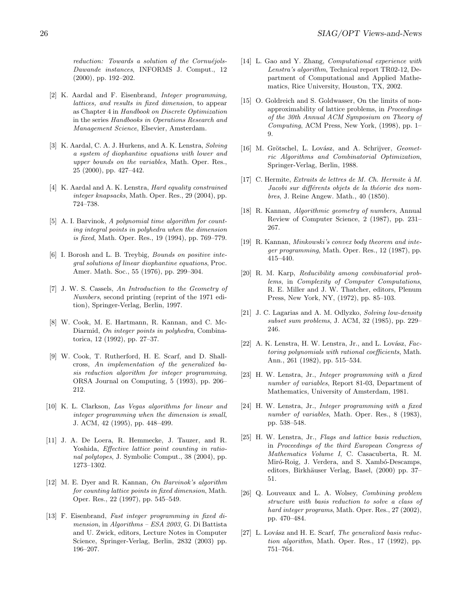$reduction:~Towards~a~solution~of~the~Cornuéjols-$ Dawande instances, INFORMS J. Comput., 12 (2000), pp. 192–202.

- <span id="page-25-9"></span>[2] K. Aardal and F. Eisenbrand, Integer programming, lattices, and results in fixed dimension, to appear as Chapter 4 in Handbook on Discrete Optimization in the series Handbooks in Operations Research and Management Science, Elsevier, Amsterdam.
- <span id="page-25-22"></span>[3] K. Aardal, C. A. J. Hurkens, and A. K. Lenstra, Solving a system of diophantine equations with lower and upper bounds on the variables, Math. Oper. Res., 25 (2000), pp. 427–442.
- <span id="page-25-11"></span>[4] K. Aardal and A. K. Lenstra, Hard equality constrained integer knapsacks, Math. Oper. Res., 29 (2004), pp. 724–738.
- <span id="page-25-15"></span>[5] A. I. Barvinok, A polynomial time algorithm for counting integral points in polyhedra when the dimension is fixed, Math. Oper. Res., 19 (1994), pp. 769–779.
- <span id="page-25-0"></span>[6] I. Borosh and L. B. Treybig, Bounds on positive integral solutions of linear diophantine equations, Proc. Amer. Math. Soc., 55 (1976), pp. 299–304.
- <span id="page-25-4"></span>[7] J. W. S. Cassels, An Introduction to the Geometry of Numbers, second printing (reprint of the 1971 edition), Springer-Verlag, Berlin, 1997.
- <span id="page-25-18"></span>[8] W. Cook, M. E. Hartmann, R. Kannan, and C. Mc-Diarmid, On integer points in polyhedra, Combinatorica, 12 (1992), pp. 27–37.
- <span id="page-25-14"></span>[9] W. Cook, T. Rutherford, H. E. Scarf, and D. Shallcross, An implementation of the generalized basis reduction algorithm for integer programming, ORSA Journal on Computing, 5 (1993), pp. 206– 212.
- <span id="page-25-20"></span>[10] K. L. Clarkson, Las Vegas algorithms for linear and integer programming when the dimension is small, J. ACM, 42 (1995), pp. 448–499.
- <span id="page-25-17"></span>[11] J. A. De Loera, R. Hemmecke, J. Tauzer, and R. Yoshida, Effective lattice point counting in rational polytopes, J. Symbolic Comput., 38 (2004), pp. 1273–1302.
- <span id="page-25-16"></span>[12] M. E. Dyer and R. Kannan, On Barvinok's algorithm for counting lattice points in fixed dimension, Math. Oper. Res., 22 (1997), pp. 545–549.
- <span id="page-25-19"></span>[13] F. Eisenbrand, Fast integer programming in fixed dimension, in Algorithms – ESA 2003, G. Di Battista and U. Zwick, editors, Lecture Notes in Computer Science, Springer-Verlag, Berlin, 2832 (2003) pp. 196–207.
- <span id="page-25-10"></span>[14] L. Gao and Y. Zhang, *Computational experience with* Lenstra's algorithm, Technical report TR02-12, Department of Computational and Applied Mathematics, Rice University, Houston, TX, 2002.
- <span id="page-25-24"></span>[15] O. Goldreich and S. Goldwasser, On the limits of nonapproximability of lattice problems, in Proceedings of the 30th Annual ACM Symposium on Theory of Computing, ACM Press, New York, (1998), pp. 1– 9.
- <span id="page-25-5"></span>[16] M. Grötschel, L. Lovász, and A. Schrijver, Geometric Algorithms and Combinatorial Optimization, Springer-Verlag, Berlin, 1988.
- <span id="page-25-8"></span>[17] C. Hermite, Extraits de lettres de M. Ch. Hermite à M. Jacobi sur différents objets de la théorie des nombres, J. Reine Angew. Math., 40 (1850).
- <span id="page-25-25"></span>[18] R. Kannan, Algorithmic geometry of numbers, Annual Review of Computer Science, 2 (1987), pp. 231– 267.
- <span id="page-25-12"></span>[19] R. Kannan, Minkowski's convex body theorem and integer programming, Math. Oper. Res., 12 (1987), pp. 415–440.
- <span id="page-25-1"></span>[20] R. M. Karp, Reducibility among combinatorial problems, in Complexity of Computer Computations, R. E. Miller and J. W. Thatcher, editors, Plenum Press, New York, NY, (1972), pp. 85–103.
- <span id="page-25-21"></span>[21] J. C. Lagarias and A. M. Odlyzko, Solving low-density subset sum problems, J. ACM, 32 (1985), pp. 229– 246.
- <span id="page-25-7"></span>[22] A. K. Lenstra, H. W. Lenstra, Jr., and L. Lovász,  $Fac$ toring polynomials with rational coefficients, Math. Ann., 261 (1982), pp. 515–534.
- <span id="page-25-2"></span>[23] H. W. Lenstra, Jr., Integer programming with a fixed number of variables, Report 81-03, Department of Mathematics, University of Amsterdam, 1981.
- <span id="page-25-3"></span>[24] H. W. Lenstra, Jr., Integer programming with a fixed number of variables, Math. Oper. Res., 8 (1983), pp. 538–548.
- <span id="page-25-6"></span>[25] H. W. Lenstra, Jr., Flags and lattice basis reduction, in Proceedings of the third European Congress of Mathematics Volume I, C. Casacuberta, R. M. Miró-Roig, J. Verdera, and S. Xambó-Descamps, editors, Birkhäuser Verlag, Basel, (2000) pp. 37-51.
- <span id="page-25-23"></span>[26] Q. Louveaux and L. A. Wolsey, Combining problem structure with basis reduction to solve a class of hard integer programs, Math. Oper. Res., 27 (2002), pp. 470–484.
- <span id="page-25-13"></span>[27] L. Lovász and H. E. Scarf, The generalized basis reduction algorithm, Math. Oper. Res., 17 (1992), pp. 751–764.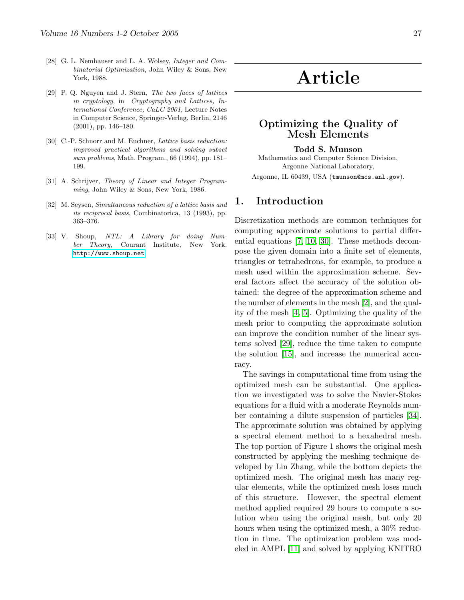- <span id="page-26-5"></span>[28] G. L. Nemhauser and L. A. Wolsey, Integer and Combinatorial Optimization, John Wiley & Sons, New York, 1988.
- <span id="page-26-4"></span>[29] P. Q. Nguyen and J. Stern, The two faces of lattices in cryptology, in Cryptography and Lattices, International Conference, CaLC 2001, Lecture Notes in Computer Science, Springer-Verlag, Berlin, 2146 (2001), pp. 146–180.
- <span id="page-26-2"></span>[30] C.-P. Schnorr and M. Euchner, *Lattice basis reduction:* improved practical algorithms and solving subset sum problems, Math. Program., 66 (1994), pp. 181– 199.
- <span id="page-26-1"></span>[31] A. Schrijver, Theory of Linear and Integer Programming, John Wiley & Sons, New York, 1986.
- [32] M. Seysen, Simultaneous reduction of a lattice basis and its reciprocal basis, Combinatorica, 13 (1993), pp. 363–376.
- <span id="page-26-3"></span>[33] V. Shoup, NTL: A Library for doing Number Theory, Courant Institute, New York. <http://www.shoup.net>.

# Article

# <span id="page-26-0"></span>Optimizing the Quality of Mesh Elements

#### Todd S. Munson

Mathematics and Computer Science Division, Argonne National Laboratory, Argonne, IL 60439, USA (tmunson@mcs.anl.gov).

## 1. Introduction

Discretization methods are common techniques for computing approximate solutions to partial differential equations [\[7,](#page-32-0) [10,](#page-32-1) [30\]](#page-33-0). These methods decompose the given domain into a finite set of elements, triangles or tetrahedrons, for example, to produce a mesh used within the approximation scheme. Several factors affect the accuracy of the solution obtained: the degree of the approximation scheme and the number of elements in the mesh [\[2\]](#page-32-2), and the quality of the mesh [\[4,](#page-32-3) [5\]](#page-32-4). Optimizing the quality of the mesh prior to computing the approximate solution can improve the condition number of the linear systems solved [\[29\]](#page-33-1), reduce the time taken to compute the solution [\[15\]](#page-32-5), and increase the numerical accuracy.

The savings in computational time from using the optimized mesh can be substantial. One application we investigated was to solve the Navier-Stokes equations for a fluid with a moderate Reynolds number containing a dilute suspension of particles [\[34\]](#page-33-2). The approximate solution was obtained by applying a spectral element method to a hexahedral mesh. The top portion of Figure 1 shows the original mesh constructed by applying the meshing technique developed by Lin Zhang, while the bottom depicts the optimized mesh. The original mesh has many regular elements, while the optimized mesh loses much of this structure. However, the spectral element method applied required 29 hours to compute a solution when using the original mesh, but only 20 hours when using the optimized mesh, a 30% reduction in time. The optimization problem was modeled in AMPL [\[11\]](#page-32-6) and solved by applying KNITRO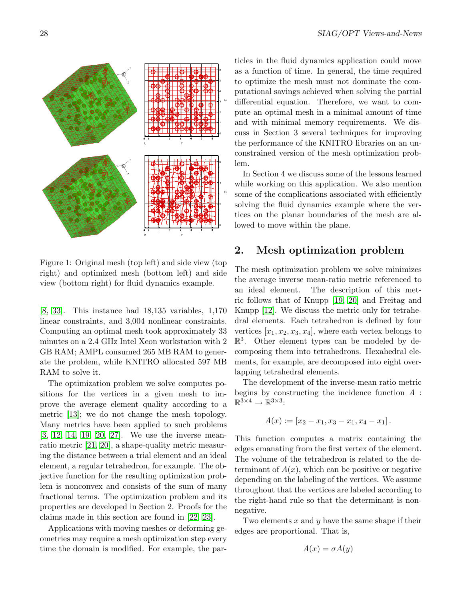

Figure 1: Original mesh (top left) and side view (top right) and optimized mesh (bottom left) and side view (bottom right) for fluid dynamics example.

[\[8,](#page-32-7) [33\]](#page-33-3). This instance had 18,135 variables, 1,170 linear constraints, and 3,004 nonlinear constraints. Computing an optimal mesh took approximately 33 minutes on a 2.4 GHz Intel Xeon workstation with 2 GB RAM; AMPL consumed 265 MB RAM to generate the problem, while KNITRO allocated 597 MB RAM to solve it.

The optimization problem we solve computes positions for the vertices in a given mesh to improve the average element quality according to a metric [\[13\]](#page-32-8); we do not change the mesh topology. Many metrics have been applied to such problems [\[3,](#page-32-9) [12,](#page-32-10) [14,](#page-32-11) [19,](#page-33-4) [20,](#page-33-5) [27\]](#page-33-6). We use the inverse meanratio metric [\[21,](#page-33-7) [20\]](#page-33-5), a shape-quality metric measuring the distance between a trial element and an ideal element, a regular tetrahedron, for example. The objective function for the resulting optimization problem is nonconvex and consists of the sum of many fractional terms. The optimization problem and its properties are developed in Section 2. Proofs for the claims made in this section are found in [\[22,](#page-33-8) [23\]](#page-33-9).

Applications with moving meshes or deforming geometries may require a mesh optimization step every time the domain is modified. For example, the particles in the fluid dynamics application could move as a function of time. In general, the time required to optimize the mesh must not dominate the computational savings achieved when solving the partial differential equation. Therefore, we want to compute an optimal mesh in a minimal amount of time and with minimal memory requirements. We discuss in Section 3 several techniques for improving the performance of the KNITRO libraries on an unconstrained version of the mesh optimization problem.

In Section 4 we discuss some of the lessons learned while working on this application. We also mention some of the complications associated with efficiently solving the fluid dynamics example where the vertices on the planar boundaries of the mesh are allowed to move within the plane.

# 2. Mesh optimization problem

The mesh optimization problem we solve minimizes the average inverse mean-ratio metric referenced to an ideal element. The description of this metric follows that of Knupp [\[19,](#page-33-4) [20\]](#page-33-5) and Freitag and Knupp [\[12\]](#page-32-10). We discuss the metric only for tetrahedral elements. Each tetrahedron is defined by four vertices  $[x_1, x_2, x_3, x_4]$ , where each vertex belongs to  $\mathbb{R}^3$ . Other element types can be modeled by decomposing them into tetrahedrons. Hexahedral elements, for example, are decomposed into eight overlapping tetrahedral elements.

The development of the inverse-mean ratio metric begins by constructing the incidence function  $A$ :  $\mathbb{R}^{3\times 4} \to \mathbb{R}^{3\times 3}$ :

$$
A(x) := [x_2 - x_1, x_3 - x_1, x_4 - x_1].
$$

This function computes a matrix containing the edges emanating from the first vertex of the element. The volume of the tetrahedron is related to the determinant of  $A(x)$ , which can be positive or negative depending on the labeling of the vertices. We assume throughout that the vertices are labeled according to the right-hand rule so that the determinant is nonnegative.

Two elements  $x$  and  $y$  have the same shape if their edges are proportional. That is,

$$
A(x) = \sigma A(y)
$$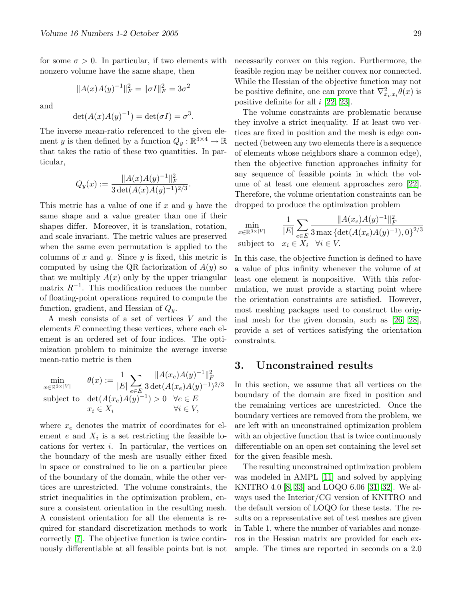for some  $\sigma > 0$ . In particular, if two elements with nonzero volume have the same shape, then

$$
||A(x)A(y)^{-1}||_F^2 = ||\sigma I||_F^2 = 3\sigma^2
$$

and

$$
\det(A(x)A(y)^{-1}) = \det(\sigma I) = \sigma^3
$$

.

The inverse mean-ratio referenced to the given element y is then defined by a function  $Q_y : \mathbb{R}^{3 \times 4} \to \mathbb{R}$ that takes the ratio of these two quantities. In particular,

$$
Q_y(x) := \frac{\|A(x)A(y)^{-1}\|_F^2}{3 \det(A(x)A(y)^{-1})^{2/3}}.
$$

This metric has a value of one if x and y have the same shape and a value greater than one if their shapes differ. Moreover, it is translation, rotation, and scale invariant. The metric values are preserved when the same even permutation is applied to the columns of x and y. Since y is fixed, this metric is computed by using the QR factorization of  $A(y)$  so that we multiply  $A(x)$  only by the upper triangular matrix  $R^{-1}$ . This modification reduces the number of floating-point operations required to compute the function, gradient, and Hessian of  $Q_y$ .

A mesh consists of a set of vertices V and the elements  $E$  connecting these vertices, where each element is an ordered set of four indices. The optimization problem to minimize the average inverse mean-ratio metric is then

$$
\min_{x \in \mathbb{R}^{3 \times |V|}} \quad \theta(x) := \frac{1}{|E|} \sum_{e \in E} \frac{\|A(x_e)A(y)^{-1}\|_F^2}{3 \det(A(x_e)A(y)^{-1})^{2/3}}
$$
\nsubject to 
$$
\det(A(x_e)A(y)^{-1}) > 0 \quad \forall e \in E
$$
\n
$$
x_i \in X_i \quad \forall i \in V,
$$

where  $x_e$  denotes the matrix of coordinates for element  $e$  and  $X_i$  is a set restricting the feasible locations for vertex i. In particular, the vertices on the boundary of the mesh are usually either fixed in space or constrained to lie on a particular piece of the boundary of the domain, while the other vertices are unrestricted. The volume constraints, the strict inequalities in the optimization problem, ensure a consistent orientation in the resulting mesh. A consistent orientation for all the elements is required for standard discretization methods to work correctly [\[7\]](#page-32-0). The objective function is twice continuously differentiable at all feasible points but is not necessarily convex on this region. Furthermore, the feasible region may be neither convex nor connected. While the Hessian of the objective function may not be positive definite, one can prove that  $\nabla^2_{x_i,x_i}\theta(x)$  is positive definite for all  $i$  [\[22,](#page-33-8) [23\]](#page-33-9).

The volume constraints are problematic because they involve a strict inequality. If at least two vertices are fixed in position and the mesh is edge connected (between any two elements there is a sequence of elements whose neighbors share a common edge), then the objective function approaches infinity for any sequence of feasible points in which the volume of at least one element approaches zero [\[22\]](#page-33-8). Therefore, the volume orientation constraints can be dropped to produce the optimization problem

$$
\min_{x \in \mathbb{R}^{3 \times |V|}} \quad \frac{1}{|E|} \sum_{e \in E} \frac{\|A(x_e)A(y)^{-1}\|_F^2}{3 \max \{ \det(A(x_e)A(y)^{-1}), 0 \}^{2/3}}
$$
\nsubject to  $x_i \in X_i \quad \forall i \in V$ .

In this case, the objective function is defined to have a value of plus infinity whenever the volume of at least one element is nonpositive. With this reformulation, we must provide a starting point where the orientation constraints are satisfied. However, most meshing packages used to construct the original mesh for the given domain, such as [\[26,](#page-33-10) [28\]](#page-33-11), provide a set of vertices satisfying the orientation constraints.

### 3. Unconstrained results

In this section, we assume that all vertices on the boundary of the domain are fixed in position and the remaining vertices are unrestricted. Once the boundary vertices are removed from the problem, we are left with an unconstrained optimization problem with an objective function that is twice continuously differentiable on an open set containing the level set for the given feasible mesh.

The resulting unconstrained optimization problem was modeled in AMPL [\[11\]](#page-32-6) and solved by applying KNITRO 4.0 [\[8,](#page-32-7) [33\]](#page-33-3) and LOQO 6.06 [\[31,](#page-33-12) [32\]](#page-33-13). We always used the Interior/CG version of KNITRO and the default version of LOQO for these tests. The results on a representative set of test meshes are given in Table 1, where the number of variables and nonzeros in the Hessian matrix are provided for each example. The times are reported in seconds on a 2.0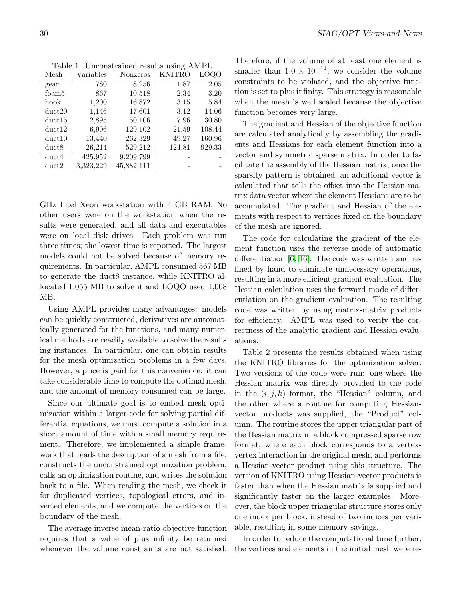| Mesh   | Variables | Nonzeros   | KNITRO | <b>LOQO</b> |
|--------|-----------|------------|--------|-------------|
| gear   | 780       | 8,256      | 1.87   | 2.05        |
| foam5  | 867       | 10,518     | 2.34   | 3.20        |
| hook   | 1,200     | 16,872     | 3.15   | 5.84        |
| duct20 | 1,146     | 17,601     | 3.12   | 14.06       |
| duct15 | 2,895     | 50,106     | 7.96   | 30.80       |
| duct12 | 6,906     | 129,102    | 21.59  | 108.44      |
| duct10 | 13,440    | 262,329    | 49.27  | 160.96      |
| duct8  | 26,214    | 529,212    | 124.81 | 929.33      |
| duct4  | 425,952   | 9,209,799  |        |             |
| duct2  | 3,323,229 | 45,882,111 |        |             |

Table 1: Unconstrained results using AMPL.

GHz Intel Xeon workstation with 4 GB RAM. No other users were on the workstation when the results were generated, and all data and executables were on local disk drives. Each problem was run three times; the lowest time is reported. The largest models could not be solved because of memory requirements. In particular, AMPL consumed 567 MB to generate the duct8 instance, while KNITRO allocated 1,055 MB to solve it and LOQO used 1,008 MB.

Using AMPL provides many advantages: models can be quickly constructed, derivatives are automatically generated for the functions, and many numerical methods are readily available to solve the resulting instances. In particular, one can obtain results for the mesh optimization problems in a few days. However, a price is paid for this convenience: it can take considerable time to compute the optimal mesh, and the amount of memory consumed can be large.

Since our ultimate goal is to embed mesh optimization within a larger code for solving partial differential equations, we must compute a solution in a short amount of time with a small memory requirement. Therefore, we implemented a simple framework that reads the description of a mesh from a file, constructs the unconstrained optimization problem, calls an optimization routine, and writes the solution back to a file. When reading the mesh, we check it for duplicated vertices, topological errors, and inverted elements, and we compute the vertices on the boundary of the mesh.

The average inverse mean-ratio objective function requires that a value of plus infinity be returned whenever the volume constraints are not satisfied. Therefore, if the volume of at least one element is smaller than  $1.0 \times 10^{-14}$ , we consider the volume constraints to be violated, and the objective function is set to plus infinity. This strategy is reasonable when the mesh is well scaled because the objective function becomes very large.

The gradient and Hessian of the objective function are calculated analytically by assembling the gradients and Hessians for each element function into a vector and symmetric sparse matrix. In order to facilitate the assembly of the Hessian matrix, once the sparsity pattern is obtained, an additional vector is calculated that tells the offset into the Hessian matrix data vector where the element Hessians are to be accumulated. The gradient and Hessian of the elements with respect to vertices fixed on the boundary of the mesh are ignored.

The code for calculating the gradient of the element function uses the reverse mode of automatic differentiation [\[6,](#page-32-12) [16\]](#page-32-13). The code was written and refined by hand to eliminate unnecessary operations, resulting in a more efficient gradient evaluation. The Hessian calculation uses the forward mode of differentiation on the gradient evaluation. The resulting code was written by using matrix-matrix products for efficiency. AMPL was used to verify the correctness of the analytic gradient and Hessian evaluations.

Table 2 presents the results obtained when using the KNITRO libraries for the optimization solver. Two versions of the code were run: one where the Hessian matrix was directly provided to the code in the  $(i, j, k)$  format, the "Hessian" column, and the other where a routine for computing Hessianvector products was supplied, the "Product" column. The routine stores the upper triangular part of the Hessian matrix in a block compressed sparse row format, where each block corresponds to a vertexvertex interaction in the original mesh, and performs a Hessian-vector product using this structure. The version of KNITRO using Hessian-vector products is faster than when the Hessian matrix is supplied and significantly faster on the larger examples. Moreover, the block upper triangular structure stores only one index per block, instead of two indices per variable, resulting in some memory savings.

In order to reduce the computational time further, the vertices and elements in the initial mesh were re-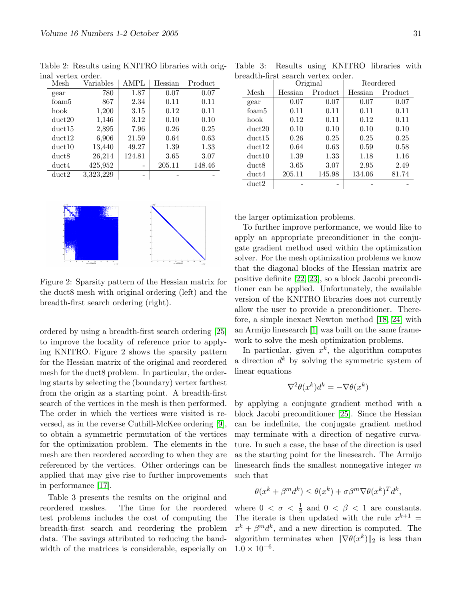| Mesh   | Variables | <b>AMPL</b> | Hessian | Product |
|--------|-----------|-------------|---------|---------|
| gear   | 780       | 1.87        | 0.07    | 0.07    |
| foam5  | 867       | 2.34        | 0.11    | 0.11    |
| hook   | 1,200     | 3.15        | 0.12    | 0.11    |
| duct20 | 1,146     | 3.12        | 0.10    | 0.10    |
| duct15 | 2,895     | 7.96        | 0.26    | 0.25    |
| duct12 | 6,906     | 21.59       | 0.64    | 0.63    |
| duct10 | 13,440    | 49.27       | 1.39    | 1.33    |
| duct8  | 26,214    | 124.81      | 3.65    | 3.07    |
| duct4  | 425,952   |             | 205.11  | 148.46  |
| duct2  | 3,323,229 | -           |         |         |

Table 2: Results using KNITRO libraries with original vertex order.



Figure 2: Sparsity pattern of the Hessian matrix for the duct8 mesh with original ordering (left) and the breadth-first search ordering (right).

ordered by using a breadth-first search ordering [\[25\]](#page-33-14) to improve the locality of reference prior to applying KNITRO. Figure 2 shows the sparsity pattern for the Hessian matrix of the original and reordered mesh for the duct8 problem. In particular, the ordering starts by selecting the (boundary) vertex farthest from the origin as a starting point. A breadth-first search of the vertices in the mesh is then performed. The order in which the vertices were visited is reversed, as in the reverse Cuthill-McKee ordering [\[9\]](#page-32-14), to obtain a symmetric permutation of the vertices for the optimization problem. The elements in the mesh are then reordered according to when they are referenced by the vertices. Other orderings can be applied that may give rise to further improvements in performance [\[17\]](#page-32-15).

Table 3 presents the results on the original and reordered meshes. The time for the reordered test problems includes the cost of computing the breadth-first search and reordering the problem data. The savings attributed to reducing the bandwidth of the matrices is considerable, especially on

Table 3: Results using KNITRO libraries with breadth-first search vertex order.

|        | $\sim$             | Original | Reordered |         |
|--------|--------------------|----------|-----------|---------|
| Mesh   | Product<br>Hessian |          | Hessian   | Product |
| gear   | 0.07               | 0.07     | 0.07      | 0.07    |
| foam5  | 0.11               | 0.11     | 0.11      | 0.11    |
| hook   | 0.12               | 0.11     | 0.12      | 0.11    |
| duct20 | 0.10               | 0.10     | 0.10      | 0.10    |
| duct15 | 0.26               | 0.25     | 0.25      | 0.25    |
| duct12 | 0.64               | 0.63     | 0.59      | 0.58    |
| duct10 | 1.39               | 1.33     | 1.18      | 1.16    |
| duct8  | 3.65               | 3.07     | 2.95      | 2.49    |
| duct4  | 205.11             | 145.98   | 134.06    | 81.74   |
| duct2  |                    |          |           |         |

the larger optimization problems.

To further improve performance, we would like to apply an appropriate preconditioner in the conjugate gradient method used within the optimization solver. For the mesh optimization problems we know that the diagonal blocks of the Hessian matrix are positive definite [\[22,](#page-33-8) [23\]](#page-33-9), so a block Jacobi preconditioner can be applied. Unfortunately, the available version of the KNITRO libraries does not currently allow the user to provide a preconditioner. Therefore, a simple inexact Newton method [\[18,](#page-32-16) [24\]](#page-33-15) with an Armijo linesearch [\[1\]](#page-32-17) was built on the same framework to solve the mesh optimization problems.

In particular, given  $x^k$ , the algorithm computes a direction  $d^k$  by solving the symmetric system of linear equations

$$
\nabla^2 \theta(x^k) d^k = -\nabla \theta(x^k)
$$

by applying a conjugate gradient method with a block Jacobi preconditioner [\[25\]](#page-33-14). Since the Hessian can be indefinite, the conjugate gradient method may terminate with a direction of negative curvature. In such a case, the base of the direction is used as the starting point for the linesearch. The Armijo linesearch finds the smallest nonnegative integer m such that

$$
\theta(x^k + \beta^m d^k) \le \theta(x^k) + \sigma \beta^m \nabla \theta(x^k)^T d^k,
$$

where  $0 < \sigma < \frac{1}{2}$  and  $0 < \beta < 1$  are constants. The iterate is then updated with the rule  $x^{k+1} =$  $x^{k} + \beta^{m}d^{k}$ , and a new direction is computed. The algorithm terminates when  $\|\nabla \theta(x^k)\|_2$  is less than  $1.0 \times 10^{-6}$ .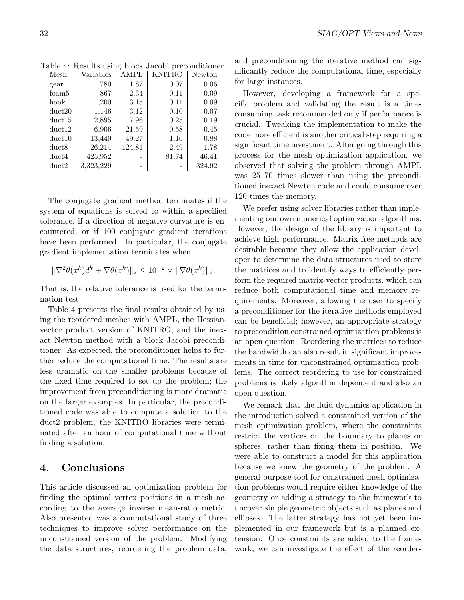| Mesh   | Variables | AMPL   | KNITRO | Newton |
|--------|-----------|--------|--------|--------|
| gear   | 780       | 1.87   | 0.07   | 0.06   |
| foam5  | 867       | 2.34   | 0.11   | 0.09   |
| hook   | 1,200     | 3.15   | 0.11   | 0.09   |
| duct20 | 1,146     | 3.12   | 0.10   | 0.07   |
| duct15 | 2,895     | 7.96   | 0.25   | 0.19   |
| duct12 | 6,906     | 21.59  | 0.58   | 0.45   |
| duct10 | 13,440    | 49.27  | 1.16   | 0.88   |
| duct8  | 26,214    | 124.81 | 2.49   | 1.78   |
| duct4  | 425,952   |        | 81.74  | 46.41  |
| duct2  | 3,323,229 |        |        | 324.92 |

Table 4: Results using block Jacobi preconditioner.

The conjugate gradient method terminates if the system of equations is solved to within a specified tolerance, if a direction of negative curvature is encountered, or if 100 conjugate gradient iterations have been performed. In particular, the conjugate gradient implementation terminates when

$$
\|\nabla^2 \theta(x^k) d^k + \nabla \theta(x^k)\|_2 \le 10^{-2} \times \|\nabla \theta(x^k)\|_2.
$$

That is, the relative tolerance is used for the termination test.

Table 4 presents the final results obtained by using the reordered meshes with AMPL, the Hessianvector product version of KNITRO, and the inexact Newton method with a block Jacobi preconditioner. As expected, the preconditioner helps to further reduce the computational time. The results are less dramatic on the smaller problems because of the fixed time required to set up the problem; the improvement from preconditioning is more dramatic on the larger examples. In particular, the preconditioned code was able to compute a solution to the duct2 problem; the KNITRO libraries were terminated after an hour of computational time without finding a solution.

## 4. Conclusions

This article discussed an optimization problem for finding the optimal vertex positions in a mesh according to the average inverse mean-ratio metric. Also presented was a computational study of three techniques to improve solver performance on the unconstrained version of the problem. Modifying the data structures, reordering the problem data, and preconditioning the iterative method can significantly reduce the computational time, especially for large instances.

However, developing a framework for a specific problem and validating the result is a timeconsuming task recommended only if performance is crucial. Tweaking the implementation to make the code more efficient is another critical step requiring a significant time investment. After going through this process for the mesh optimization application, we observed that solving the problem through AMPL was 25–70 times slower than using the preconditioned inexact Newton code and could consume over 120 times the memory.

We prefer using solver libraries rather than implementing our own numerical optimization algorithms. However, the design of the library is important to achieve high performance. Matrix-free methods are desirable because they allow the application developer to determine the data structures used to store the matrices and to identify ways to efficiently perform the required matrix-vector products, which can reduce both computational time and memory requirements. Moreover, allowing the user to specify a preconditioner for the iterative methods employed can be beneficial; however, an appropriate strategy to precondition constrained optimization problems is an open question. Reordering the matrices to reduce the bandwidth can also result in significant improvements in time for unconstrained optimization problems. The correct reordering to use for constrained problems is likely algorithm dependent and also an open question.

We remark that the fluid dynamics application in the introduction solved a constrained version of the mesh optimization problem, where the constraints restrict the vertices on the boundary to planes or spheres, rather than fixing them in position. We were able to construct a model for this application because we knew the geometry of the problem. A general-purpose tool for constrained mesh optimization problems would require either knowledge of the geometry or adding a strategy to the framework to uncover simple geometric objects such as planes and ellipses. The latter strategy has not yet been implemented in our framework but is a planned extension. Once constraints are added to the framework, we can investigate the effect of the reorder-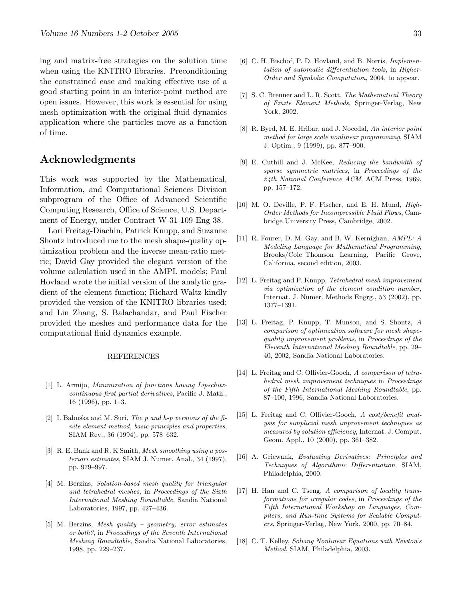ing and matrix-free strategies on the solution time when using the KNITRO libraries. Preconditioning the constrained case and making effective use of a good starting point in an interior-point method are open issues. However, this work is essential for using mesh optimization with the original fluid dynamics application where the particles move as a function of time.

# Acknowledgments

This work was supported by the Mathematical, Information, and Computational Sciences Division subprogram of the Office of Advanced Scientific Computing Research, Office of Science, U.S. Department of Energy, under Contract W-31-109-Eng-38.

Lori Freitag-Diachin, Patrick Knupp, and Suzanne Shontz introduced me to the mesh shape-quality optimization problem and the inverse mean-ratio metric; David Gay provided the elegant version of the volume calculation used in the AMPL models; Paul Hovland wrote the initial version of the analytic gradient of the element function; Richard Waltz kindly provided the version of the KNITRO libraries used; and Lin Zhang, S. Balachandar, and Paul Fischer provided the meshes and performance data for the computational fluid dynamics example.

#### REFERENCES

- <span id="page-32-17"></span>[1] L. Armijo, Minimization of functions having Lipschitzcontinuous first partial derivatives, Pacific J. Math., 16 (1996), pp. 1–3.
- <span id="page-32-2"></span>[2] I. Babuška and M. Suri, The p and h-p versions of the finite element method, basic principles and properties, SIAM Rev., 36 (1994), pp. 578–632.
- <span id="page-32-9"></span>[3] R. E. Bank and R. K Smith, Mesh smoothing using a posteriori estimates, SIAM J. Numer. Anal., 34 (1997), pp. 979–997.
- <span id="page-32-3"></span>[4] M. Berzins, Solution-based mesh quality for triangular and tetrahedral meshes, in Proceedings of the Sixth International Meshing Roundtable, Sandia National Laboratories, 1997, pp. 427–436.
- <span id="page-32-4"></span>[5] M. Berzins, Mesh quality – geometry, error estimates or both?, in Proceedings of the Seventh International Meshing Roundtable, Sandia National Laboratories, 1998, pp. 229–237.
- <span id="page-32-12"></span><span id="page-32-0"></span>[7] S. C. Brenner and L. R. Scott, The Mathematical Theory of Finite Element Methods, Springer-Verlag, New York, 2002.
- <span id="page-32-7"></span>[8] R. Byrd, M. E. Hribar, and J. Nocedal, An interior point method for large scale nonlinear programming, SIAM J. Optim., 9 (1999), pp. 877–900.
- <span id="page-32-14"></span>[9] E. Cuthill and J. McKee, Reducing the bandwidth of sparse symmetric matrices, in Proceedings of the 24th National Conference ACM, ACM Press, 1969, pp. 157–172.
- <span id="page-32-1"></span>[10] M. O. Deville, P. F. Fischer, and E. H. Mund, High-Order Methods for Incompressible Fluid Flows, Cambridge University Press, Cambridge, 2002.
- <span id="page-32-6"></span>[11] R. Fourer, D. M. Gay, and B. W. Kernighan, AMPL: A Modeling Language for Mathematical Programming, Brooks/Cole–Thomson Learning, Pacific Grove, California, second edition, 2003.
- <span id="page-32-10"></span>[12] L. Freitag and P. Knupp, Tetrahedral mesh improvement via optimization of the element condition number, Internat. J. Numer. Methods Engrg., 53 (2002), pp. 1377–1391.
- <span id="page-32-8"></span>[13] L. Freitag, P. Knupp, T. Munson, and S. Shontz, A comparison of optimization software for mesh shapequality improvement problems, in Proceedings of the Eleventh International Meshing Roundtable, pp. 29– 40, 2002, Sandia National Laboratories.
- <span id="page-32-11"></span>[14] L. Freitag and C. Ollivier-Gooch, A comparison of tetrahedral mesh improvement techniques in Proceedings of the Fifth International Meshing Roundtable, pp. 87–100, 1996, Sandia National Laboratories.
- <span id="page-32-5"></span>[15] L. Freitag and C. Ollivier-Gooch, A cost/benefit analysis for simplicial mesh improvement techniques as measured by solution efficiency, Internat. J. Comput. Geom. Appl., 10 (2000), pp. 361–382.
- <span id="page-32-13"></span>[16] A. Griewank, Evaluating Derivatives: Principles and Techniques of Algorithmic Differentiation, SIAM, Philadelphia, 2000.
- <span id="page-32-15"></span>[17] H. Han and C. Tseng, A comparison of locality transformations for irregular codes, in Proceedings of the Fifth International Workshop on Languages, Compilers, and Run-time Systems for Scalable Computers, Springer-Verlag, New York, 2000, pp. 70–84.
- <span id="page-32-16"></span>[18] C. T. Kelley, Solving Nonlinear Equations with Newton's Method, SIAM, Philadelphia, 2003.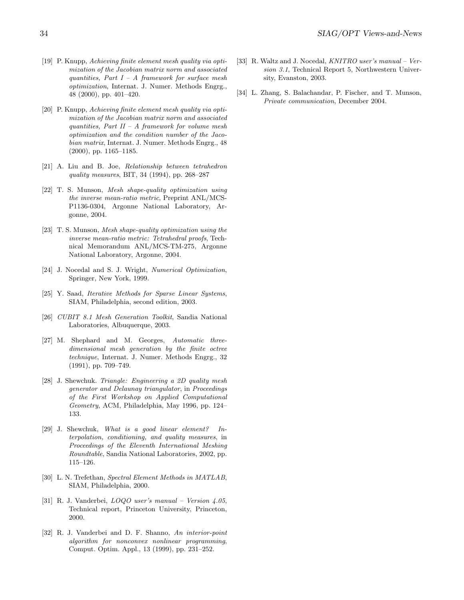- <span id="page-33-4"></span>[19] P. Knupp, Achieving finite element mesh quality via optimization of the Jacobian matrix norm and associated quantities, Part  $I - A$  framework for surface mesh optimization, Internat. J. Numer. Methods Engrg., 48 (2000), pp. 401–420.
- <span id="page-33-5"></span>[20] P. Knupp, Achieving finite element mesh quality via optimization of the Jacobian matrix norm and associated quantities, Part II – A framework for volume mesh optimization and the condition number of the Jacobian matrix, Internat. J. Numer. Methods Engrg., 48 (2000), pp. 1165–1185.
- <span id="page-33-7"></span>[21] A. Liu and B. Joe, Relationship between tetrahedron quality measures, BIT, 34 (1994), pp. 268–287
- <span id="page-33-8"></span>[22] T. S. Munson, Mesh shape-quality optimization using the inverse mean-ratio metric, Preprint ANL/MCS-P1136-0304, Argonne National Laboratory, Argonne, 2004.
- <span id="page-33-9"></span>[23] T. S. Munson, Mesh shape-quality optimization using the inverse mean-ratio metric: Tetrahedral proofs, Technical Memorandum ANL/MCS-TM-275, Argonne National Laboratory, Argonne, 2004.
- <span id="page-33-15"></span>[24] J. Nocedal and S. J. Wright, Numerical Optimization, Springer, New York, 1999.
- <span id="page-33-14"></span>[25] Y. Saad, Iterative Methods for Sparse Linear Systems, SIAM, Philadelphia, second edition, 2003.
- <span id="page-33-10"></span>[26] CUBIT 8.1 Mesh Generation Toolkit, Sandia National Laboratories, Albuquerque, 2003.
- <span id="page-33-6"></span>[27] M. Shephard and M. Georges, Automatic threedimensional mesh generation by the finite octree technique, Internat. J. Numer. Methods Engrg., 32 (1991), pp. 709–749.
- <span id="page-33-11"></span>[28] J. Shewchuk. Triangle: Engineering a 2D quality mesh generator and Delaunay triangulator, in Proceedings of the First Workshop on Applied Computational Geometry, ACM, Philadelphia, May 1996, pp. 124– 133.
- <span id="page-33-1"></span>[29] J. Shewchuk, What is a good linear element? Interpolation, conditioning, and quality measures, in Proceedings of the Eleventh International Meshing Roundtable, Sandia National Laboratories, 2002, pp. 115–126.
- <span id="page-33-0"></span>[30] L. N. Trefethan, Spectral Element Methods in MATLAB, SIAM, Philadelphia, 2000.
- <span id="page-33-12"></span>[31] R. J. Vanderbei, LOQO user's manual – Version 4.05, Technical report, Princeton University, Princeton, 2000.
- <span id="page-33-13"></span>[32] R. J. Vanderbei and D. F. Shanno, An interior-point algorithm for nonconvex nonlinear programming, Comput. Optim. Appl., 13 (1999), pp. 231–252.
- <span id="page-33-3"></span>[33] R. Waltz and J. Nocedal, KNITRO user's manual – Version 3.1, Technical Report 5, Northwestern University, Evanston, 2003.
- <span id="page-33-2"></span>[34] L. Zhang, S. Balachandar, P. Fischer, and T. Munson, Private communication, December 2004.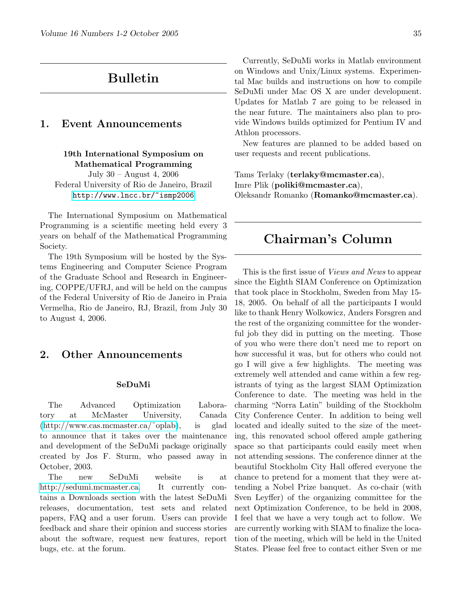# Bulletin

# <span id="page-34-0"></span>1. Event Announcements

# 19th International Symposium on Mathematical Programming

July 30 – August 4, 2006 Federal University of Rio de Janeiro, Brazil <http://www.lncc.br/~ismp2006>

The International Symposium on Mathematical Programming is a scientific meeting held every 3 years on behalf of the Mathematical Programming Society.

The 19th Symposium will be hosted by the Systems Engineering and Computer Science Program of the Graduate School and Research in Engineering, COPPE/UFRJ, and will be held on the campus of the Federal University of Rio de Janeiro in Praia Vermelha, Rio de Janeiro, RJ, Brazil, from July 30 to August 4, 2006.

## 2. Other Announcements

#### SeDuMi

The Advanced Optimization Laboratory at McMaster University, Canada [\(http://www.cas.mcmaster.ca/˜oplab\)](http://www.cas.mcmaster.ca/~oplab), is glad to announce that it takes over the maintenance and development of the SeDuMi package originally created by Jos F. Sturm, who passed away in October, 2003.

The new SeDuMi website is at [http://sedumi.mcmaster.ca.](http://sedumi.mcmaster.ca) It currently contains a Downloads section with the latest SeDuMi releases, documentation, test sets and related papers, FAQ and a user forum. Users can provide feedback and share their opinion and success stories about the software, request new features, report bugs, etc. at the forum.

Currently, SeDuMi works in Matlab environment on Windows and Unix/Linux systems. Experimental Mac builds and instructions on how to compile SeDuMi under Mac OS X are under development. Updates for Matlab 7 are going to be released in the near future. The maintainers also plan to provide Windows builds optimized for Pentium IV and Athlon processors.

New features are planned to be added based on user requests and recent publications.

<span id="page-34-1"></span>Tams Terlaky (terlaky@mcmaster.ca), Imre Plik (poliki@mcmaster.ca), Oleksandr Romanko (Romanko@mcmaster.ca).

# Chairman's Column

This is the first issue of Views and News to appear since the Eighth SIAM Conference on Optimization that took place in Stockholm, Sweden from May 15- 18, 2005. On behalf of all the participants I would like to thank Henry Wolkowicz, Anders Forsgren and the rest of the organizing committee for the wonderful job they did in putting on the meeting. Those of you who were there don't need me to report on how successful it was, but for others who could not go I will give a few highlights. The meeting was extremely well attended and came within a few registrants of tying as the largest SIAM Optimization Conference to date. The meeting was held in the charming "Norra Latin" building of the Stockholm City Conference Center. In addition to being well located and ideally suited to the size of the meeting, this renovated school offered ample gathering space so that participants could easily meet when not attending sessions. The conference dinner at the beautiful Stockholm City Hall offered everyone the chance to pretend for a moment that they were attending a Nobel Prize banquet. As co-chair (with Sven Leyffer) of the organizing committee for the next Optimization Conference, to be held in 2008, I feel that we have a very tough act to follow. We are currently working with SIAM to finalize the location of the meeting, which will be held in the United States. Please feel free to contact either Sven or me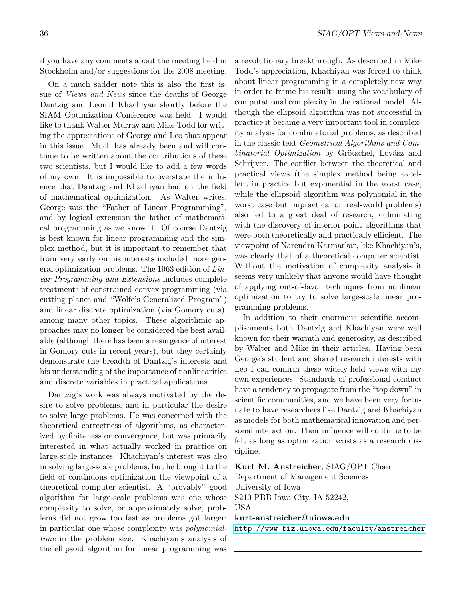if you have any comments about the meeting held in Stockholm and/or suggestions for the 2008 meeting.

On a much sadder note this is also the first issue of Views and News since the deaths of George Dantzig and Leonid Khachiyan shortly before the SIAM Optimization Conference was held. I would like to thank Walter Murray and Mike Todd for writing the appreciations of George and Leo that appear in this issue. Much has already been and will continue to be written about the contributions of these two scientists, but I would like to add a few words of my own. It is impossible to overstate the influence that Dantzig and Khachiyan had on the field of mathematical optimization. As Walter writes, George was the "Father of Linear Programming", and by logical extension the father of mathematical programming as we know it. Of course Dantzig is best known for linear programming and the simplex method, but it is important to remember that from very early on his interests included more general optimization problems. The 1963 edition of Linear Programming and Extensions includes complete treatments of constrained convex programming (via cutting planes and "Wolfe's Generalized Program") and linear discrete optimization (via Gomory cuts), among many other topics. These algorithmic approaches may no longer be considered the best available (although there has been a resurgence of interest in Gomory cuts in recent years), but they certainly demonstrate the breadth of Dantzig's interests and his understanding of the importance of nonlinearities and discrete variables in practical applications.

Dantzig's work was always motivated by the desire to solve problems, and in particular the desire to solve large problems. He was concerned with the theoretical correctness of algorithms, as characterized by finiteness or convergence, but was primarily interested in what actually worked in practice on large-scale instances. Khachiyan's interest was also in solving large-scale problems, but he brought to the field of continuous optimization the viewpoint of a theoretical computer scientist. A "provably" good algorithm for large-scale problems was one whose complexity to solve, or approximately solve, problems did not grow too fast as problems got larger; in particular one whose complexity was polynomialtime in the problem size. Khachiyan's analysis of the ellipsoid algorithm for linear programming was a revolutionary breakthrough. As described in Mike Todd's appreciation, Khachiyan was forced to think about linear programming in a completely new way in order to frame his results using the vocabulary of computational complexity in the rational model. Although the ellipsoid algorithm was not successful in practice it became a very important tool in complexity analysis for combinatorial problems, as described in the classic text Geometrical Algorithms and Combinatorial Optimization by Grötschel, Lovász and Schrijver. The conflict between the theoretical and practical views (the simplex method being excellent in practice but exponential in the worst case, while the ellipsoid algorithm was polynomial in the worst case but impractical on real-world problems) also led to a great deal of research, culminating with the discovery of interior-point algorithms that were both theoretically and practically efficient. The viewpoint of Narendra Karmarkar, like Khachiyan's, was clearly that of a theoretical computer scientist. Without the motivation of complexity analysis it seems very unlikely that anyone would have thought of applying out-of-favor techniques from nonlinear optimization to try to solve large-scale linear programming problems.

In addition to their enormous scientific accomplishments both Dantzig and Khachiyan were well known for their warmth and generosity, as described by Walter and Mike in their articles. Having been George's student and shared research interests with Leo I can confirm these widely-held views with my own experiences. Standards of professional conduct have a tendency to propagate from the "top down" in scientific communities, and we have been very fortunate to have researchers like Dantzig and Khachiyan as models for both mathematical innovation and personal interaction. Their influence will continue to be felt as long as optimization exists as a research discipline.

#### Kurt M. Anstreicher, SIAG/OPT Chair

Department of Management Sciences University of Iowa S210 PBB Iowa City, IA 52242, USA

#### kurt-anstreicher@uiowa.edu

<span id="page-35-0"></span><http://www.biz.uiowa.edu/faculty/anstreicher>